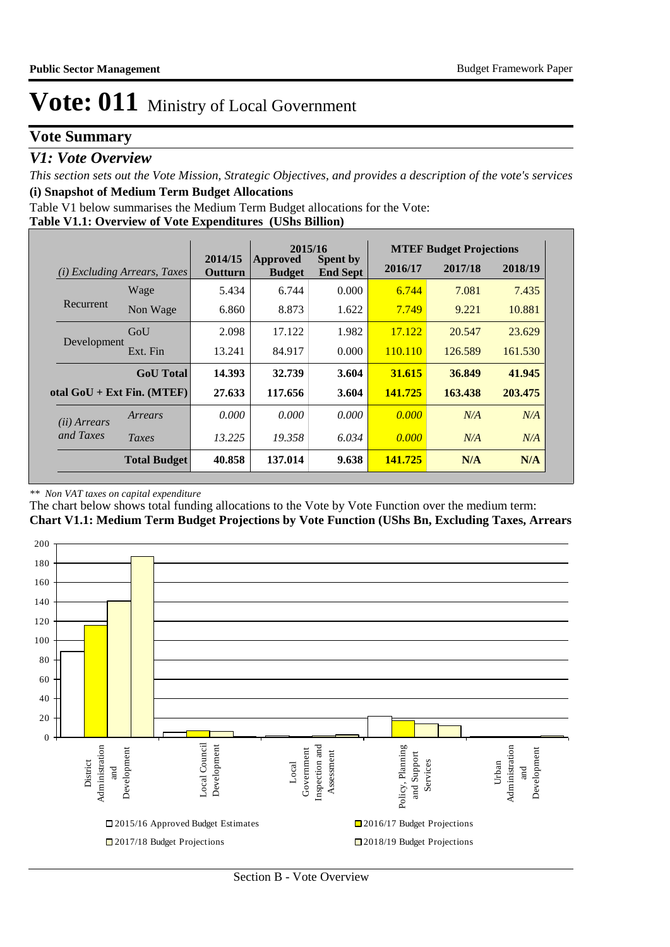### **Vote Summary**

### *V1: Vote Overview*

*This section sets out the Vote Mission, Strategic Objectives, and provides a description of the vote's services* **(i) Snapshot of Medium Term Budget Allocations** 

Table V1 below summarises the Medium Term Budget allocations for the Vote:

**Table V1.1: Overview of Vote Expenditures (UShs Billion)**

|                       |                                 |                    | 2015/16                          |                                    | <b>MTEF Budget Projections</b> |         |         |  |
|-----------------------|---------------------------------|--------------------|----------------------------------|------------------------------------|--------------------------------|---------|---------|--|
| (i)                   | <i>Excluding Arrears, Taxes</i> | 2014/15<br>Outturn | <b>Approved</b><br><b>Budget</b> | <b>Spent by</b><br><b>End Sept</b> | 2016/17                        | 2017/18 | 2018/19 |  |
|                       | Wage                            | 5.434              | 6.744                            | 0.000                              | 6.744                          | 7.081   | 7.435   |  |
| Recurrent             | Non Wage                        | 6.860              | 8.873                            | 1.622                              | 7.749                          | 9.221   | 10.881  |  |
| Development           | GoU                             | 2.098              | 17.122                           | 1.982                              | 17.122                         | 20.547  | 23.629  |  |
|                       | Ext. Fin                        | 13.241             | 84.917                           | 0.000                              | 110.110                        | 126.589 | 161.530 |  |
|                       | <b>GoU</b> Total                | 14.393             | 32.739                           | 3.604                              | 31.615                         | 36.849  | 41.945  |  |
|                       | otal $GoU + Ext Fin. (MTEF)$    | 27.633             | 117.656                          | 3.604                              | 141.725                        | 163.438 | 203.475 |  |
| ( <i>ii</i> ) Arrears | Arrears                         | 0.000              | 0.000                            | 0.000                              | 0.000                          | N/A     | N/A     |  |
| and Taxes             | Taxes                           | 13.225             | 19.358                           | 6.034                              | 0.000                          | N/A     | N/A     |  |
|                       | <b>Total Budget</b>             | 40.858             | 137.014                          | 9.638                              | 141.725                        | N/A     | N/A     |  |

#### *\*\* Non VAT taxes on capital expenditure*

The chart below shows total funding allocations to the Vote by Vote Function over the medium term: **Chart V1.1: Medium Term Budget Projections by Vote Function (UShs Bn, Excluding Taxes, Arrears**

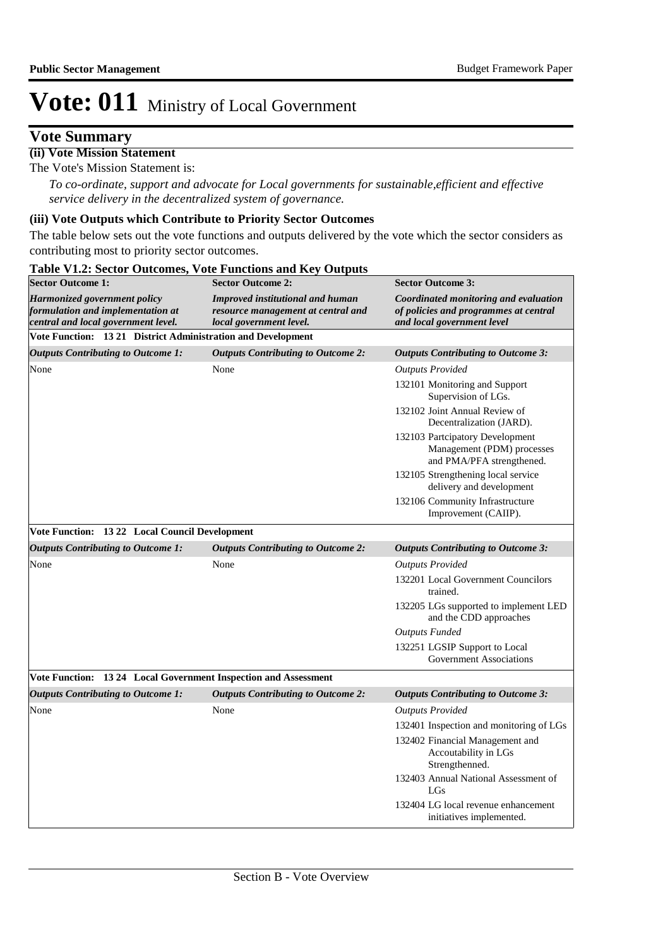### **Vote Summary**

#### **(ii) Vote Mission Statement**

The Vote's Mission Statement is:

*To co-ordinate, support and advocate for Local governments for sustainable,efficient and effective service delivery in the decentralized system of governance.*

#### **(iii) Vote Outputs which Contribute to Priority Sector Outcomes**

The table below sets out the vote functions and outputs delivered by the vote which the sector considers as contributing most to priority sector outcomes.

| <b>Sector Outcome 1:</b>                                                                                 | <b>Sector Outcome 2:</b>                                                                          | <b>Sector Outcome 3:</b>                                                                                     |
|----------------------------------------------------------------------------------------------------------|---------------------------------------------------------------------------------------------------|--------------------------------------------------------------------------------------------------------------|
| Harmonized government policy<br>formulation and implementation at<br>central and local government level. | Improved institutional and human<br>resource management at central and<br>local government level. | Coordinated monitoring and evaluation<br>of policies and programmes at central<br>and local government level |
| Vote Function: 13 21 District Administration and Development                                             |                                                                                                   |                                                                                                              |
| <b>Outputs Contributing to Outcome 1:</b>                                                                | <b>Outputs Contributing to Outcome 2:</b>                                                         | <b>Outputs Contributing to Outcome 3:</b>                                                                    |
| None                                                                                                     | None                                                                                              | <b>Outputs Provided</b>                                                                                      |
|                                                                                                          |                                                                                                   | 132101 Monitoring and Support<br>Supervision of LGs.                                                         |
|                                                                                                          |                                                                                                   | 132102 Joint Annual Review of<br>Decentralization (JARD).                                                    |
|                                                                                                          |                                                                                                   | 132103 Partcipatory Development<br>Management (PDM) processes<br>and PMA/PFA strengthened.                   |
|                                                                                                          |                                                                                                   | 132105 Strengthening local service<br>delivery and development                                               |
|                                                                                                          |                                                                                                   | 132106 Community Infrastructure<br>Improvement (CAIIP).                                                      |
| Vote Function: 13 22 Local Council Development                                                           |                                                                                                   |                                                                                                              |
| <b>Outputs Contributing to Outcome 1:</b>                                                                | <b>Outputs Contributing to Outcome 2:</b>                                                         | <b>Outputs Contributing to Outcome 3:</b>                                                                    |
| None                                                                                                     | None                                                                                              | <b>Outputs Provided</b>                                                                                      |
|                                                                                                          |                                                                                                   | 132201 Local Government Councilors<br>trained.                                                               |
|                                                                                                          |                                                                                                   | 132205 LGs supported to implement LED<br>and the CDD approaches                                              |
|                                                                                                          |                                                                                                   | Outputs Funded                                                                                               |
|                                                                                                          |                                                                                                   | 132251 LGSIP Support to Local<br><b>Government Associations</b>                                              |
| Vote Function: 13 24 Local Government Inspection and Assessment                                          |                                                                                                   |                                                                                                              |
| <b>Outputs Contributing to Outcome 1:</b>                                                                | <b>Outputs Contributing to Outcome 2:</b>                                                         | <b>Outputs Contributing to Outcome 3:</b>                                                                    |
| None                                                                                                     | None                                                                                              | <b>Outputs Provided</b>                                                                                      |
|                                                                                                          |                                                                                                   | 132401 Inspection and monitoring of LGs                                                                      |
|                                                                                                          |                                                                                                   | 132402 Financial Management and<br>Accoutability in LGs<br>Strengthenned.                                    |
|                                                                                                          |                                                                                                   | 132403 Annual National Assessment of<br>LGs                                                                  |
|                                                                                                          |                                                                                                   | 132404 LG local revenue enhancement<br>initiatives implemented.                                              |

#### **Table V1.2: Sector Outcomes, Vote Functions and Key Outputs**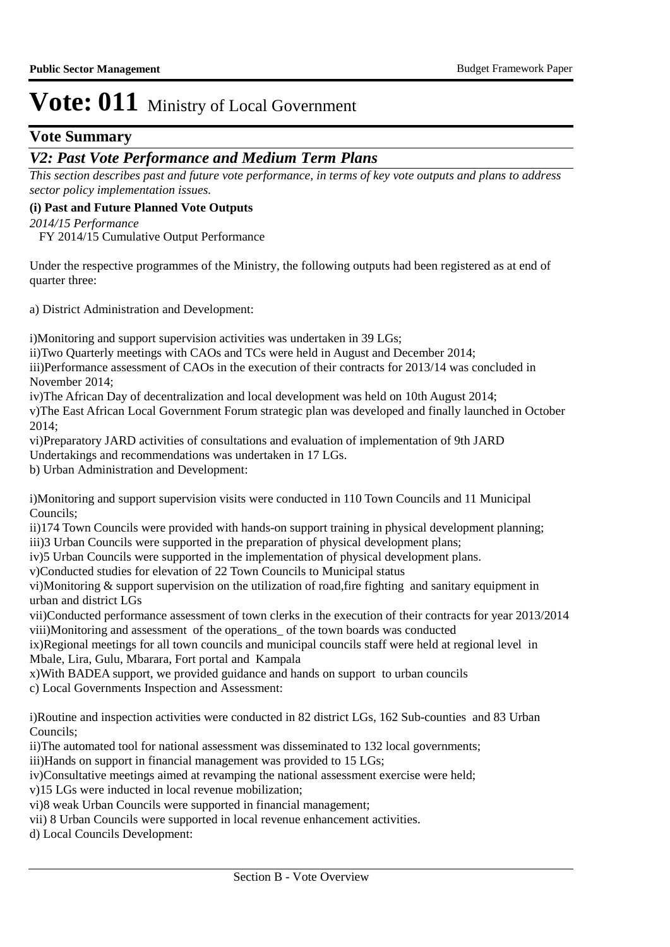### **Vote Summary**

### *V2: Past Vote Performance and Medium Term Plans*

*This section describes past and future vote performance, in terms of key vote outputs and plans to address sector policy implementation issues.* 

#### **(i) Past and Future Planned Vote Outputs**

*2014/15 Performance*

FY 2014/15 Cumulative Output Performance

Under the respective programmes of the Ministry, the following outputs had been registered as at end of quarter three:

a) District Administration and Development:

i)Monitoring and support supervision activities was undertaken in 39 LGs;

ii) Two Quarterly meetings with CAOs and TCs were held in August and December 2014;

iii)Performance assessment of CAOs in the execution of their contracts for 2013/14 was concluded in November 2014;

iv) The African Day of decentralization and local development was held on 10th August 2014;

v) The East African Local Government Forum strategic plan was developed and finally launched in October 2014;

vi)Preparatory JARD activities of consultations and evaluation of implementation of 9th JARD

Undertakings and recommendations was undertaken in 17 LGs.

b) Urban Administration and Development:

i)Monitoring and support supervision visits were conducted in 110 Town Councils and 11 Municipal Councils;

ii)174 Town Councils were provided with hands-on support training in physical development planning;

iii) 3 Urban Councils were supported in the preparation of physical development plans;

iv)5 Urban Councils were supported in the implementation of physical development plans.

v)Conducted studies for elevation of 22 Town Councils to Municipal status

vi)Monitoring  $&$  support supervision on the utilization of road, fire fighting and sanitary equipment in urban and district LGs

vii)Conducted performance assessment of town clerks in the execution of their contracts for year 2013/2014 viii) Monitoring and assessment of the operations\_ of the town boards was conducted

ix)Regional meetings for all town councils and municipal councils staff were held at regional level in Mbale, Lira, Gulu, Mbarara, Fort portal and Kampala

x) With BADEA support, we provided guidance and hands on support to urban councils

c) Local Governments Inspection and Assessment:

i)Routine and inspection activities were conducted in 82 district LGs, 162 Sub-counties and 83 Urban Councils;

ii)The automated tool for national assessment was disseminated to 132 local governments;

iii) Hands on support in financial management was provided to 15 LGs;

iv)Consultative meetings aimed at revamping the national assessment exercise were held;

v)15 LGs were inducted in local revenue mobilization;

vi)8 weak Urban Councils were supported in financial management;

vii) 8 Urban Councils were supported in local revenue enhancement activities.

d) Local Councils Development: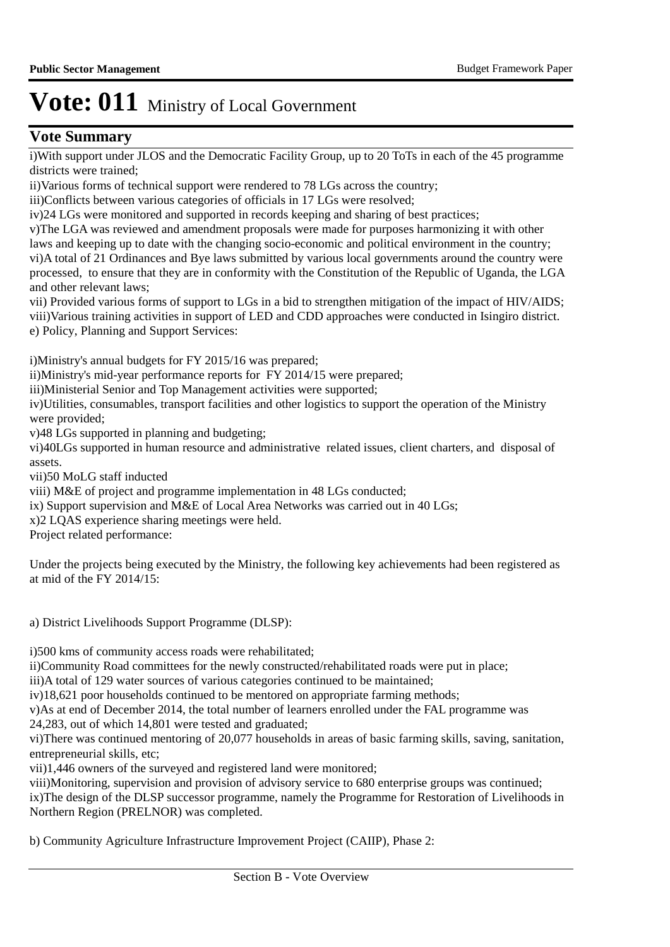### **Vote Summary**

i) With support under JLOS and the Democratic Facility Group, up to 20 ToTs in each of the 45 programme districts were trained;

ii) Various forms of technical support were rendered to 78 LGs across the country;

iii)Conflicts between various categories of officials in 17 LGs were resolved;

iv) 24 LGs were monitored and supported in records keeping and sharing of best practices;

v)The LGA was reviewed and amendment proposals were made for purposes harmonizing it with other laws and keeping up to date with the changing socio-economic and political environment in the country;

vi)A total of 21 Ordinances and Bye laws submitted by various local governments around the country were processed, to ensure that they are in conformity with the Constitution of the Republic of Uganda, the LGA and other relevant laws;

vii) Provided various forms of support to LGs in a bid to strengthen mitigation of the impact of HIV/AIDS; viii) Various training activities in support of LED and CDD approaches were conducted in Isingiro district. e) Policy, Planning and Support Services:

i)Ministry's annual budgets for FY 2015/16 was prepared;

ii)Ministry's mid-year performance reports for FY 2014/15 were prepared;

iii)Ministerial Senior and Top Management activities were supported;

iv) Utilities, consumables, transport facilities and other logistics to support the operation of the Ministry were provided;

v) 48 LGs supported in planning and budgeting;

vi)40LGs supported in human resource and administrative related issues, client charters, and disposal of assets.

vii)50 MoLG staff inducted

viii) M&E of project and programme implementation in 48 LGs conducted;

ix) Support supervision and M&E of Local Area Networks was carried out in 40 LGs;

x)2 LQAS experience sharing meetings were held.

Project related performance:

Under the projects being executed by the Ministry, the following key achievements had been registered as at mid of the FY 2014/15:

a) District Livelihoods Support Programme (DLSP):

i)500 kms of community access roads were rehabilitated;

ii)Community Road committees for the newly constructed/rehabilitated roads were put in place;

iii)A total of 129 water sources of various categories continued to be maintained;

iv)18,621 poor households continued to be mentored on appropriate farming methods;

v) As at end of December 2014, the total number of learners enrolled under the FAL programme was

24,283, out of which 14,801 were tested and graduated;

vi)There was continued mentoring of 20,077 households in areas of basic farming skills, saving, sanitation, entrepreneurial skills, etc;

vii)1,446 owners of the surveyed and registered land were monitored;

viii) Monitoring, supervision and provision of advisory service to 680 enterprise groups was continued; ix) The design of the DLSP successor programme, namely the Programme for Restoration of Livelihoods in Northern Region (PRELNOR) was completed.

b) Community Agriculture Infrastructure Improvement Project (CAIIP), Phase 2: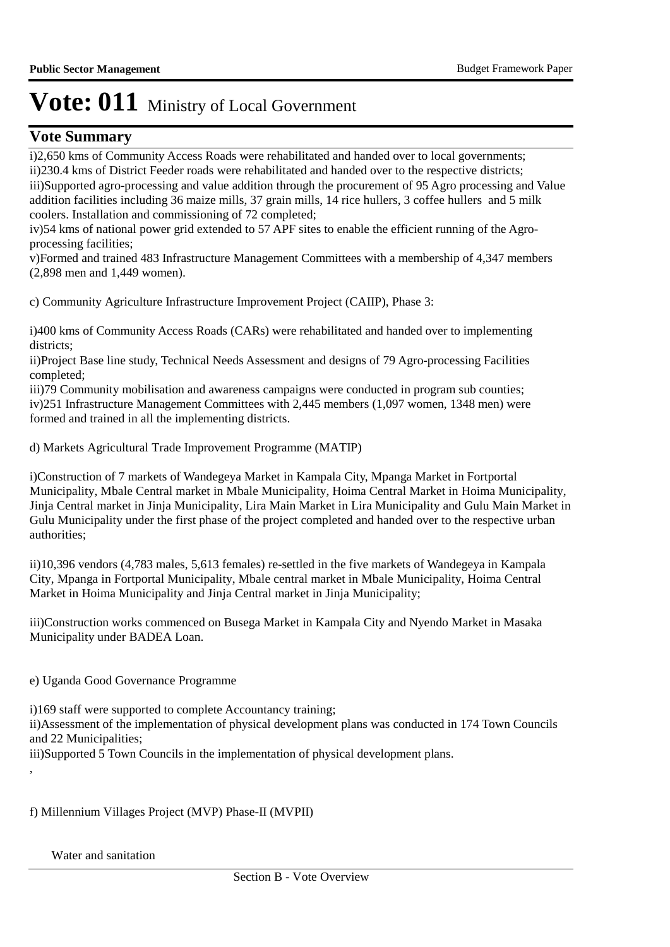### **Vote Summary**

i)2,650 kms of Community Access Roads were rehabilitated and handed over to local governments; ii) 230.4 kms of District Feeder roads were rehabilitated and handed over to the respective districts; iii)Supported agro-processing and value addition through the procurement of 95 Agro processing and Value addition facilities including 36 maize mills, 37 grain mills, 14 rice hullers, 3 coffee hullers and 5 milk coolers. Installation and commissioning of 72 completed;

iv) 54 kms of national power grid extended to 57 APF sites to enable the efficient running of the Agroprocessing facilities;

v) Formed and trained 483 Infrastructure Management Committees with a membership of 4,347 members (2,898 men and 1,449 women).

c) Community Agriculture Infrastructure Improvement Project (CAIIP), Phase 3:

i)400 kms of Community Access Roads (CARs) were rehabilitated and handed over to implementing districts;

ii) Project Base line study, Technical Needs Assessment and designs of 79 Agro-processing Facilities completed;

iii)79 Community mobilisation and awareness campaigns were conducted in program sub counties; iv) 251 Infrastructure Management Committees with 2,445 members (1,097 women, 1348 men) were formed and trained in all the implementing districts.

d) Markets Agricultural Trade Improvement Programme (MATIP)

i) Construction of 7 markets of Wandegeya Market in Kampala City, Mpanga Market in Fortportal Municipality, Mbale Central market in Mbale Municipality, Hoima Central Market in Hoima Municipality, Jinja Central market in Jinja Municipality, Lira Main Market in Lira Municipality and Gulu Main Market in Gulu Municipality under the first phase of the project completed and handed over to the respective urban authorities;

ii)10,396 vendors (4,783 males, 5,613 females) re-settled in the five markets of Wandegeya in Kampala City, Mpanga in Fortportal Municipality, Mbale central market in Mbale Municipality, Hoima Central Market in Hoima Municipality and Jinja Central market in Jinja Municipality;

iii)Construction works commenced on Busega Market in Kampala City and Nyendo Market in Masaka Municipality under BADEA Loan.

e) Uganda Good Governance Programme

i)169 staff were supported to complete Accountancy training;

ii) Assessment of the implementation of physical development plans was conducted in 174 Town Councils and 22 Municipalities;

iii)Supported 5 Town Councils in the implementation of physical development plans.

f) Millennium Villages Project (MVP) Phase-II (MVPII)

Water and sanitation

,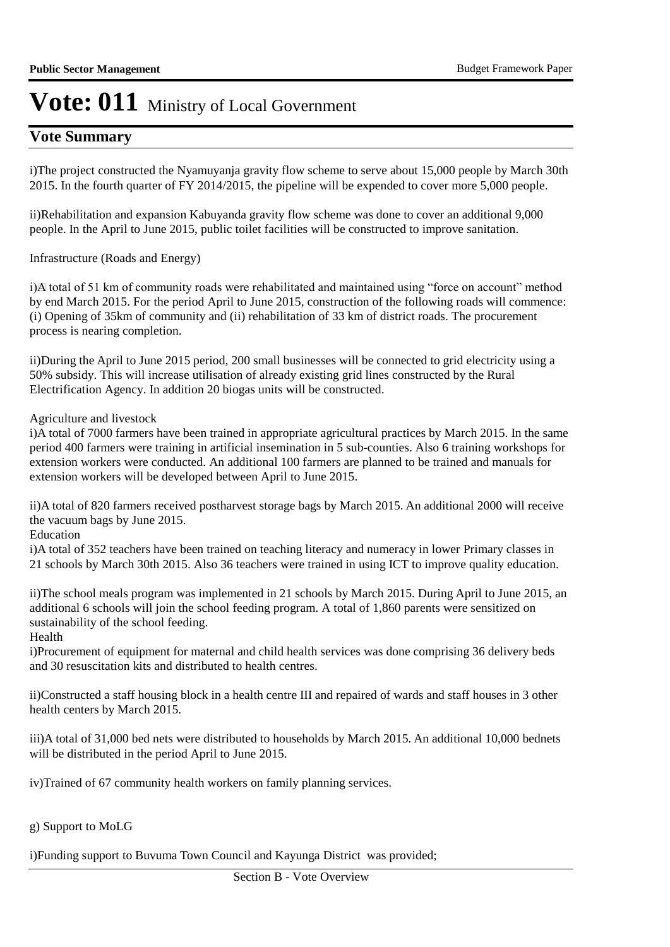### **Vote Summary**

i) The project constructed the Nyamuyanja gravity flow scheme to serve about 15,000 people by March 30th 2015. In the fourth quarter of FY 2014/2015, the pipeline will be expended to cover more 5,000 people.

ii)Rehabilitation and expansion Kabuyanda gravity flow scheme was done to cover an additional 9,000 people. In the April to June 2015, public toilet facilities will be constructed to improve sanitation.

Infrastructure (Roads and Energy)

i)A total of 51 km of community roads were rehabilitated and maintained using "force on account" method by end March 2015. For the period April to June 2015, construction of the following roads will commence: (i) Opening of 35km of community and (ii) rehabilitation of 33 km of district roads. The procurement process is nearing completion.

ii) During the April to June 2015 period, 200 small businesses will be connected to grid electricity using a 50% subsidy. This will increase utilisation of already existing grid lines constructed by the Rural Electrification Agency. In addition 20 biogas units will be constructed.

Agriculture and livestock

i)A total of 7000 farmers have been trained in appropriate agricultural practices by March 2015. In the same period 400 farmers were training in artificial insemination in 5 sub-counties. Also 6 training workshops for extension workers were conducted. An additional 100 farmers are planned to be trained and manuals for extension workers will be developed between April to June 2015.

ii)A total of 820 farmers received postharvest storage bags by March 2015. An additional 2000 will receive the vacuum bags by June 2015.

Education

i)A total of 352 teachers have been trained on teaching literacy and numeracy in lower Primary classes in 21 schools by March 30th 2015. Also 36 teachers were trained in using ICT to improve quality education.

ii) The school meals program was implemented in 21 schools by March 2015. During April to June 2015, an additional 6 schools will join the school feeding program. A total of 1,860 parents were sensitized on sustainability of the school feeding.

Health

i) Procurement of equipment for maternal and child health services was done comprising 36 delivery beds and 30 resuscitation kits and distributed to health centres.

ii)Constructed a staff housing block in a health centre III and repaired of wards and staff houses in 3 other health centers by March 2015.

iii)A total of 31,000 bed nets were distributed to households by March 2015. An additional 10,000 bednets will be distributed in the period April to June 2015.

iv)Trained of 67 community health workers on family planning services.

g) Support to MoLG

i) Funding support to Buvuma Town Council and Kayunga District was provided;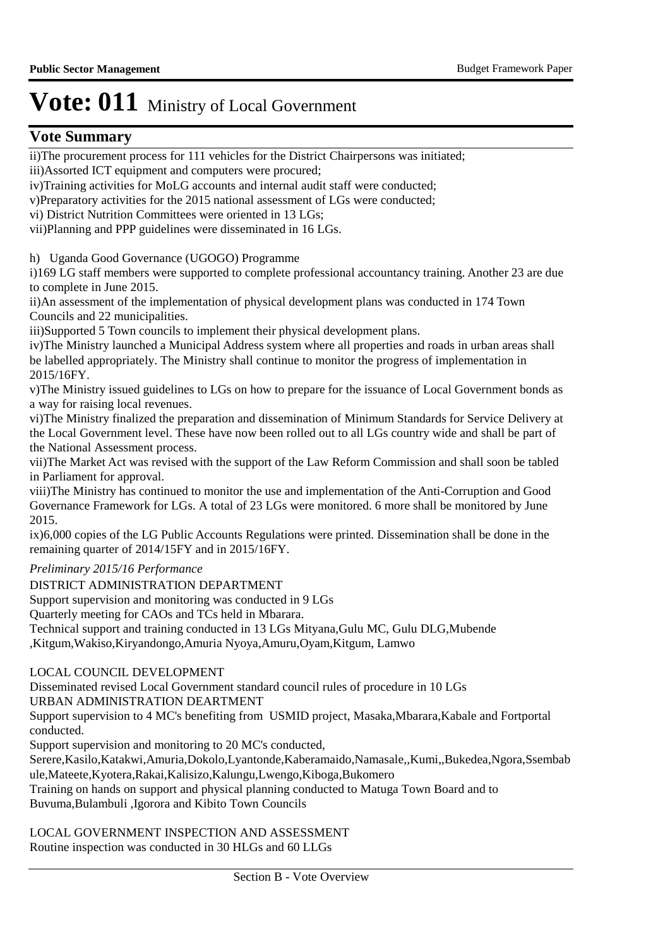### **Vote Summary**

ii) The procurement process for 111 vehicles for the District Chairpersons was initiated; iii) Assorted ICT equipment and computers were procured;

iv)Training activities for MoLG accounts and internal audit staff were conducted;

v)Preparatory activities for the 2015 national assessment of LGs were conducted;

vi) District Nutrition Committees were oriented in 13 LGs;

vii)Planning and PPP guidelines were disseminated in 16 LGs.

h) Uganda Good Governance (UGOGO) Programme

i)169 LG staff members were supported to complete professional accountancy training. Another 23 are due to complete in June 2015.

ii)An assessment of the implementation of physical development plans was conducted in 174 Town Councils and 22 municipalities.

iii)Supported 5 Town councils to implement their physical development plans.

iv) The Ministry launched a Municipal Address system where all properties and roads in urban areas shall be labelled appropriately. The Ministry shall continue to monitor the progress of implementation in 2015/16FY.

v)The Ministry issued guidelines to LGs on how to prepare for the issuance of Local Government bonds as a way for raising local revenues.

vi) The Ministry finalized the preparation and dissemination of Minimum Standards for Service Delivery at the Local Government level. These have now been rolled out to all LGs country wide and shall be part of the National Assessment process.

vii) The Market Act was revised with the support of the Law Reform Commission and shall soon be tabled in Parliament for approval.

viii) The Ministry has continued to monitor the use and implementation of the Anti-Corruption and Good Governance Framework for LGs. A total of 23 LGs were monitored. 6 more shall be monitored by June 2015.

ix)6,000 copies of the LG Public Accounts Regulations were printed. Dissemination shall be done in the remaining quarter of 2014/15FY and in 2015/16FY.

*Preliminary 2015/16 Performance*

DISTRICT ADMINISTRATION DEPARTMENT Support supervision and monitoring was conducted in 9 LGs Quarterly meeting for CAOs and TCs held in Mbarara. Technical support and training conducted in 13 LGs Mityana,Gulu MC, Gulu DLG,Mubende ,Kitgum,Wakiso,Kiryandongo,Amuria Nyoya,Amuru,Oyam,Kitgum, Lamwo

LOCAL COUNCIL DEVELOPMENT

Disseminated revised Local Government standard council rules of procedure in 10 LGs

URBAN ADMINISTRATION DEARTMENT

Support supervision to 4 MC's benefiting from USMID project, Masaka,Mbarara,Kabale and Fortportal conducted.

Support supervision and monitoring to 20 MC's conducted,

Serere,Kasilo,Katakwi,Amuria,Dokolo,Lyantonde,Kaberamaido,Namasale,,Kumi,,Bukedea,Ngora,Ssembab ule,Mateete,Kyotera,Rakai,Kalisizo,Kalungu,Lwengo,Kiboga,Bukomero

Training on hands on support and physical planning conducted to Matuga Town Board and to Buvuma,Bulambuli ,Igorora and Kibito Town Councils

LOCAL GOVERNMENT INSPECTION AND ASSESSMENT Routine inspection was conducted in 30 HLGs and 60 LLGs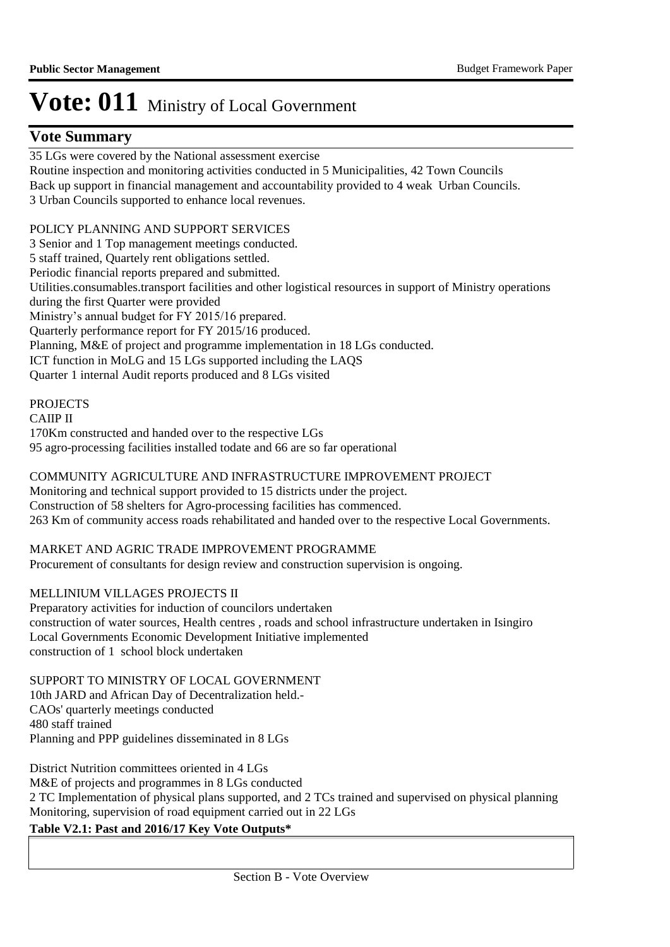### **Vote Summary**

35 LGs were covered by the National assessment exercise Routine inspection and monitoring activities conducted in 5 Municipalities, 42 Town Councils Back up support in financial management and accountability provided to 4 weak Urban Councils. 3 Urban Councils supported to enhance local revenues.

#### POLICY PLANNING AND SUPPORT SERVICES

3 Senior and 1 Top management meetings conducted. 5 staff trained, Quartely rent obligations settled. Periodic financial reports prepared and submitted. Utilities.consumables.transport facilities and other logistical resources in support of Ministry operations during the first Quarter were provided Ministry's annual budget for FY 2015/16 prepared. Quarterly performance report for FY 2015/16 produced. Planning, M&E of project and programme implementation in 18 LGs conducted. ICT function in MoLG and 15 LGs supported including the LAQS Quarter 1 internal Audit reports produced and 8 LGs visited

#### **PROJECTS**

CAIIP II 170Km constructed and handed over to the respective LGs 95 agro-processing facilities installed todate and 66 are so far operational

### COMMUNITY AGRICULTURE AND INFRASTRUCTURE IMPROVEMENT PROJECT

Monitoring and technical support provided to 15 districts under the project. Construction of 58 shelters for Agro-processing facilities has commenced. 263 Km of community access roads rehabilitated and handed over to the respective Local Governments.

#### MARKET AND AGRIC TRADE IMPROVEMENT PROGRAMME

Procurement of consultants for design review and construction supervision is ongoing.

#### MELLINIUM VILLAGES PROJECTS II

Preparatory activities for induction of councilors undertaken construction of water sources, Health centres , roads and school infrastructure undertaken in Isingiro Local Governments Economic Development Initiative implemented construction of 1 school block undertaken

SUPPORT TO MINISTRY OF LOCAL GOVERNMENT 10th JARD and African Day of Decentralization held.- CAOs' quarterly meetings conducted 480 staff trained Planning and PPP guidelines disseminated in 8 LGs

District Nutrition committees oriented in 4 LGs M&E of projects and programmes in 8 LGs conducted 2 TC Implementation of physical plans supported, and 2 TCs trained and supervised on physical planning Monitoring, supervision of road equipment carried out in 22 LGs

#### **Table V2.1: Past and 2016/17 Key Vote Outputs\***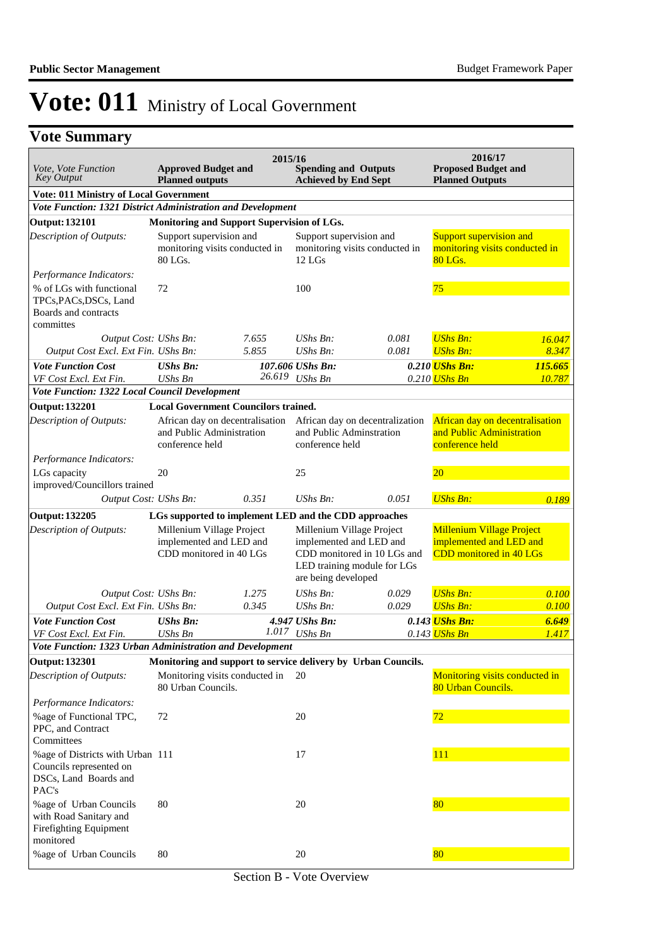## **Vote Summary**

| Vote, Vote Function<br><b>Key Output</b>                                                                           | 2015/16<br><b>Spending and Outputs</b><br><b>Approved Budget and</b><br><b>Achieved by End Sept</b><br><b>Planned outputs</b>  |        |                                                                                                            |                                 | 2016/17<br><b>Proposed Budget and</b><br><b>Planned Outputs</b>                        |         |
|--------------------------------------------------------------------------------------------------------------------|--------------------------------------------------------------------------------------------------------------------------------|--------|------------------------------------------------------------------------------------------------------------|---------------------------------|----------------------------------------------------------------------------------------|---------|
| <b>Vote: 011 Ministry of Local Government</b>                                                                      |                                                                                                                                |        |                                                                                                            |                                 |                                                                                        |         |
| Vote Function: 1321 District Administration and Development                                                        |                                                                                                                                |        |                                                                                                            |                                 |                                                                                        |         |
| <b>Output: 132101</b>                                                                                              | Monitoring and Support Supervision of LGs.                                                                                     |        |                                                                                                            |                                 |                                                                                        |         |
| Description of Outputs:                                                                                            | Support supervision and<br>monitoring visits conducted in<br>80 LGs.                                                           |        | Support supervision and<br>12 LGs                                                                          | monitoring visits conducted in  | Support supervision and<br>monitoring visits conducted in<br>80 LGs.                   |         |
| Performance Indicators:<br>% of LGs with functional<br>TPCs, PACs, DSCs, Land<br>Boards and contracts<br>committes | 72                                                                                                                             |        | 100                                                                                                        |                                 | 75                                                                                     |         |
| Output Cost: UShs Bn:                                                                                              |                                                                                                                                | 7.655  | $UShs Bn$ :                                                                                                | 0.081                           | <b>UShs Bn:</b>                                                                        | 16.047  |
| Output Cost Excl. Ext Fin. UShs Bn:                                                                                |                                                                                                                                | 5.855  | UShs Bn:                                                                                                   | 0.081                           | <b>UShs Bn:</b>                                                                        | 8.347   |
| <b>Vote Function Cost</b>                                                                                          | <b>UShs Bn:</b>                                                                                                                |        | 107.606 UShs Bn:                                                                                           |                                 | 0.210 UShs Bn:                                                                         | 115.665 |
| VF Cost Excl. Ext Fin.                                                                                             | <b>UShs Bn</b>                                                                                                                 | 26.619 | <b>UShs Bn</b>                                                                                             |                                 | 0.210 UShs Bn                                                                          | 10.787  |
| Vote Function: 1322 Local Council Development                                                                      |                                                                                                                                |        |                                                                                                            |                                 |                                                                                        |         |
|                                                                                                                    |                                                                                                                                |        |                                                                                                            |                                 |                                                                                        |         |
| <b>Output: 132201</b><br>Description of Outputs:                                                                   | <b>Local Government Councilors trained.</b><br>African day on decentralisation<br>and Public Administration<br>conference held |        | and Public Adminstration<br>conference held                                                                | African day on decentralization | African day on decentralisation<br>and Public Administration<br>conference held        |         |
| Performance Indicators:                                                                                            |                                                                                                                                |        |                                                                                                            |                                 |                                                                                        |         |
| LGs capacity                                                                                                       | 20                                                                                                                             |        | 25                                                                                                         |                                 | 20                                                                                     |         |
| improved/Councillors trained                                                                                       |                                                                                                                                |        |                                                                                                            |                                 |                                                                                        |         |
| Output Cost: UShs Bn:                                                                                              |                                                                                                                                | 0.351  | $UShs Bn$ :                                                                                                | 0.051                           | <b>UShs Bn:</b>                                                                        | 0.189   |
| <b>Output: 132205</b>                                                                                              | LGs supported to implement LED and the CDD approaches                                                                          |        |                                                                                                            |                                 |                                                                                        |         |
| <b>Description of Outputs:</b>                                                                                     | Millenium Village Project<br>implemented and LED and<br>CDD monitored in 40 LGs                                                |        | Millenium Village Project<br>implemented and LED and<br>LED training module for LGs<br>are being developed | CDD monitored in 10 LGs and     | <b>Millenium Village Project</b><br>implemented and LED and<br>CDD monitored in 40 LGs |         |
| Output Cost: UShs Bn:                                                                                              |                                                                                                                                | 1.275  | UShs Bn:                                                                                                   | 0.029                           | <b>UShs Bn:</b>                                                                        | 0.100   |
| Output Cost Excl. Ext Fin. UShs Bn:                                                                                |                                                                                                                                | 0.345  | UShs Bn:                                                                                                   | 0.029                           | <b>UShs Bn:</b>                                                                        | 0.100   |
| <b>Vote Function Cost</b>                                                                                          | <b>UShs Bn:</b>                                                                                                                |        | 4.947 UShs Bn:                                                                                             |                                 | 0.143 <i>UShs Bn:</i>                                                                  | 6.649   |
| VF Cost Excl. Ext Fin.                                                                                             | <b>UShs Bn</b>                                                                                                                 |        | $1.017$ UShs Bn                                                                                            |                                 | 0.143 UShs Bn                                                                          | 1.417   |
| Vote Function: 1323 Urban Administration and Development                                                           |                                                                                                                                |        |                                                                                                            |                                 |                                                                                        |         |
| <b>Output: 132301</b>                                                                                              | Monitoring and support to service delivery by Urban Councils.                                                                  |        |                                                                                                            |                                 |                                                                                        |         |
| Description of Outputs:                                                                                            | Monitoring visits conducted in<br>80 Urban Councils.                                                                           |        | 20                                                                                                         |                                 | Monitoring visits conducted in<br>80 Urban Councils.                                   |         |
| Performance Indicators:<br>%age of Functional TPC,<br>PPC, and Contract                                            | 72                                                                                                                             |        | 20                                                                                                         |                                 | 72                                                                                     |         |
| Committees<br>%age of Districts with Urban 111<br>Councils represented on<br>DSCs, Land Boards and<br>PAC's        |                                                                                                                                |        | 17                                                                                                         |                                 | <b>111</b>                                                                             |         |
| %age of Urban Councils<br>with Road Sanitary and<br>Firefighting Equipment<br>monitored                            | 80                                                                                                                             |        | 20                                                                                                         |                                 | 80                                                                                     |         |
| %age of Urban Councils                                                                                             | 80                                                                                                                             |        | 20                                                                                                         |                                 | 80                                                                                     |         |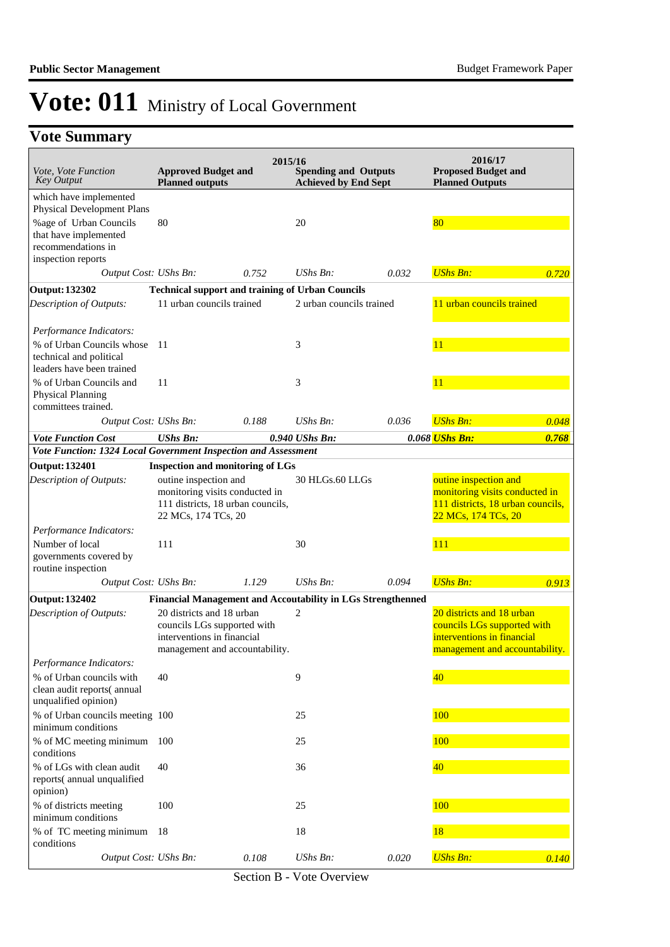## **Vote Summary**

| Vote, Vote Function<br><b>Key Output</b>                       | <b>Approved Budget and</b><br><b>Planned outputs</b>         | 2015/16 | <b>Spending and Outputs</b><br><b>Achieved by End Sept</b>  |       | 2016/17<br><b>Proposed Budget and</b><br><b>Planned Outputs</b> |       |
|----------------------------------------------------------------|--------------------------------------------------------------|---------|-------------------------------------------------------------|-------|-----------------------------------------------------------------|-------|
| which have implemented                                         |                                                              |         |                                                             |       |                                                                 |       |
| <b>Physical Development Plans</b>                              |                                                              |         |                                                             |       |                                                                 |       |
| %age of Urban Councils<br>that have implemented                | 80                                                           |         | 20                                                          |       | 80                                                              |       |
| recommendations in                                             |                                                              |         |                                                             |       |                                                                 |       |
| inspection reports                                             |                                                              |         |                                                             |       |                                                                 |       |
| Output Cost: UShs Bn:                                          |                                                              | 0.752   | $UShs Bn$ :                                                 | 0.032 | <b>UShs Bn:</b>                                                 | 0.720 |
| <b>Output: 132302</b>                                          | <b>Technical support and training of Urban Councils</b>      |         |                                                             |       |                                                                 |       |
| Description of Outputs:                                        | 11 urban councils trained                                    |         | 2 urban councils trained                                    |       | 11 urban councils trained                                       |       |
| Performance Indicators:                                        |                                                              |         |                                                             |       |                                                                 |       |
| % of Urban Councils whose                                      | 11                                                           |         | 3                                                           |       | 11                                                              |       |
| technical and political                                        |                                                              |         |                                                             |       |                                                                 |       |
| leaders have been trained                                      |                                                              |         |                                                             |       |                                                                 |       |
| % of Urban Councils and<br><b>Physical Planning</b>            | 11                                                           |         | 3                                                           |       | 11                                                              |       |
| committees trained.                                            |                                                              |         |                                                             |       |                                                                 |       |
| Output Cost: UShs Bn:                                          |                                                              | 0.188   | $UShs Bn$ :                                                 | 0.036 | <b>UShs Bn:</b>                                                 | 0.048 |
| <b>Vote Function Cost</b>                                      | <b>UShs Bn:</b>                                              |         | $0.940$ UShs Bn:                                            |       | 0.068 UShs Bn:                                                  | 0.768 |
| Vote Function: 1324 Local Government Inspection and Assessment |                                                              |         |                                                             |       |                                                                 |       |
| <b>Output: 132401</b>                                          | <b>Inspection and monitoring of LGs</b>                      |         |                                                             |       |                                                                 |       |
| Description of Outputs:                                        | outine inspection and<br>monitoring visits conducted in      |         | 30 HLGs.60 LLGs                                             |       | outine inspection and<br>monitoring visits conducted in         |       |
|                                                                | 111 districts, 18 urban councils,                            |         |                                                             |       | 111 districts, 18 urban councils,                               |       |
|                                                                | 22 MCs, 174 TCs, 20                                          |         |                                                             |       | 22 MCs, 174 TCs, 20                                             |       |
| Performance Indicators:                                        |                                                              |         |                                                             |       |                                                                 |       |
| Number of local                                                | 111                                                          |         | 30                                                          |       | 111                                                             |       |
| governments covered by<br>routine inspection                   |                                                              |         |                                                             |       |                                                                 |       |
| Output Cost: UShs Bn:                                          |                                                              | 1.129   | UShs Bn:                                                    | 0.094 | <b>UShs Bn:</b>                                                 | 0.913 |
| <b>Output: 132402</b>                                          |                                                              |         | Financial Management and Accoutability in LGs Strengthenned |       |                                                                 |       |
| Description of Outputs:                                        | 20 districts and 18 urban                                    |         | $\overline{c}$                                              |       | 20 districts and 18 urban                                       |       |
|                                                                | councils LGs supported with                                  |         |                                                             |       | councils LGs supported with                                     |       |
|                                                                | interventions in financial<br>management and accountability. |         |                                                             |       | interventions in financial<br>management and accountability.    |       |
| Performance Indicators:                                        |                                                              |         |                                                             |       |                                                                 |       |
| % of Urban councils with                                       | 40                                                           |         | 9                                                           |       | 40                                                              |       |
| clean audit reports(annual                                     |                                                              |         |                                                             |       |                                                                 |       |
| unqualified opinion)<br>% of Urban councils meeting 100        |                                                              |         | 25                                                          |       | 100                                                             |       |
| minimum conditions                                             |                                                              |         |                                                             |       |                                                                 |       |
| % of MC meeting minimum 100                                    |                                                              |         | 25                                                          |       | 100                                                             |       |
| conditions                                                     |                                                              |         |                                                             |       |                                                                 |       |
| % of LGs with clean audit                                      | 40                                                           |         | 36                                                          |       | 40                                                              |       |
| reports(annual unqualified<br>opinion)                         |                                                              |         |                                                             |       |                                                                 |       |
| % of districts meeting                                         | 100                                                          |         | 25                                                          |       | 100                                                             |       |
| minimum conditions                                             |                                                              |         |                                                             |       |                                                                 |       |
| % of TC meeting minimum<br>conditions                          | -18                                                          |         | 18                                                          |       | 18                                                              |       |
| Output Cost: UShs Bn:                                          |                                                              | 0.108   | <b>UShs Bn:</b>                                             | 0.020 | <b>UShs Bn:</b>                                                 | 0.140 |

Section B - Vote Overview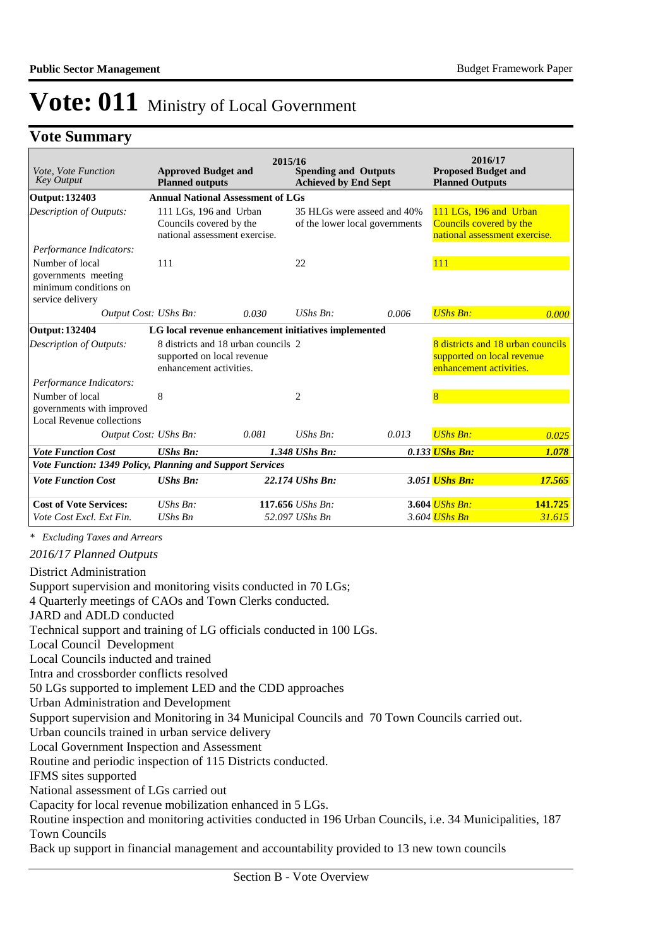### **Vote Summary**

| Vote, Vote Function<br><b>Key Output</b>                                            | <b>Approved Budget and</b><br><b>Planned outputs</b>                                         |       | 2015/16<br><b>Spending and Outputs</b><br><b>Achieved by End Sept</b> |                                                               | 2016/17<br><b>Proposed Budget and</b><br><b>Planned Outputs</b>                    |                                   |
|-------------------------------------------------------------------------------------|----------------------------------------------------------------------------------------------|-------|-----------------------------------------------------------------------|---------------------------------------------------------------|------------------------------------------------------------------------------------|-----------------------------------|
| Output: 132403                                                                      | <b>Annual National Assessment of LGs</b>                                                     |       |                                                                       |                                                               |                                                                                    |                                   |
| <b>Description of Outputs:</b>                                                      | 111 LGs, 196 and Urban<br>Councils covered by the<br>national assessment exercise.           |       |                                                                       | 35 HLGs were asseed and 40%<br>of the lower local governments | 111 LGs, 196 and Urban<br>Councils covered by the<br>national assessment exercise. |                                   |
| Performance Indicators:                                                             |                                                                                              |       |                                                                       |                                                               |                                                                                    |                                   |
| Number of local<br>governments meeting<br>minimum conditions on<br>service delivery | 111                                                                                          |       | 22                                                                    |                                                               | 111                                                                                |                                   |
| Output Cost: UShs Bn:                                                               |                                                                                              | 0.030 | $UShs Bn:$                                                            | 0.006                                                         | <b>UShs Bn:</b>                                                                    | 0.000                             |
| <b>Output: 132404</b>                                                               | LG local revenue enhancement initiatives implemented                                         |       |                                                                       |                                                               |                                                                                    |                                   |
| Description of Outputs:                                                             | 8 districts and 18 urban councils 2<br>supported on local revenue<br>enhancement activities. |       |                                                                       |                                                               | supported on local revenue<br>enhancement activities.                              | 8 districts and 18 urban councils |
| Performance Indicators:                                                             |                                                                                              |       |                                                                       |                                                               |                                                                                    |                                   |
| Number of local<br>governments with improved<br>Local Revenue collections           | 8                                                                                            |       | $\overline{c}$                                                        |                                                               | 8                                                                                  |                                   |
| Output Cost: UShs Bn:                                                               |                                                                                              | 0.081 | $UShs Bn$ :                                                           | 0.013                                                         | <b>UShs Bn:</b>                                                                    | 0.025                             |
| <b>Vote Function Cost</b>                                                           | <b>UShs Bn:</b>                                                                              |       | 1.348 UShs Bn:                                                        |                                                               | 0.133 UShs Bn:                                                                     | 1.078                             |
| Vote Function: 1349 Policy, Planning and Support Services                           |                                                                                              |       |                                                                       |                                                               |                                                                                    |                                   |
| <b>Vote Function Cost</b>                                                           | <b>UShs Bn:</b>                                                                              |       | 22.174 UShs Bn:                                                       |                                                               | 3.051 <i>UShs Bn:</i>                                                              | 17.565                            |
| <b>Cost of Vote Services:</b>                                                       | $UShs Bn$ :                                                                                  |       | 117.656 UShs Bn:                                                      |                                                               | 3.604 <i>UShs Bn:</i>                                                              | 141.725                           |
| Vote Cost Excl. Ext Fin.                                                            | $UShs$ $Bn$                                                                                  |       | 52.097 UShs Bn                                                        |                                                               | 3.604 <i>UShs Bn</i>                                                               | 31.615                            |

*\* Excluding Taxes and Arrears*

*2016/17 Planned Outputs*

District Administration

Support supervision and monitoring visits conducted in 70 LGs;

4 Quarterly meetings of CAOs and Town Clerks conducted.

JARD and ADLD conducted

Technical support and training of LG officials conducted in 100 LGs.

Local Council Development

Local Councils inducted and trained

Intra and crossborder conflicts resolved

50 LGs supported to implement LED and the CDD approaches

Urban Administration and Development

Support supervision and Monitoring in 34 Municipal Councils and 70 Town Councils carried out.

Urban councils trained in urban service delivery

Local Government Inspection and Assessment

Routine and periodic inspection of 115 Districts conducted.

IFMS sites supported

National assessment of LGs carried out

Capacity for local revenue mobilization enhanced in 5 LGs.

Routine inspection and monitoring activities conducted in 196 Urban Councils, i.e. 34 Municipalities, 187 Town Councils

Back up support in financial management and accountability provided to 13 new town councils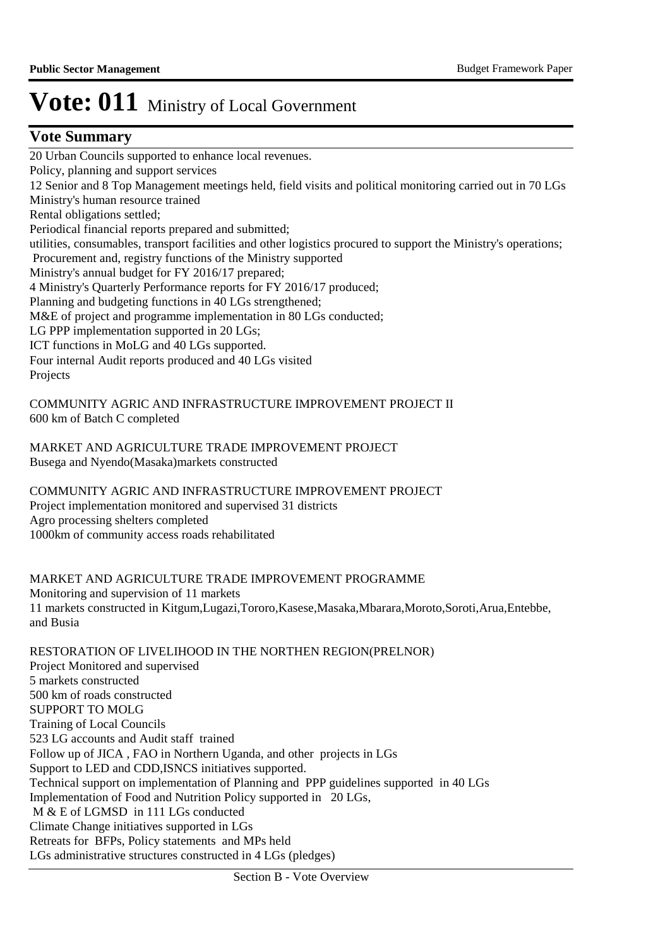### **Vote Summary**

20 Urban Councils supported to enhance local revenues. Policy, planning and support services 12 Senior and 8 Top Management meetings held, field visits and political monitoring carried out in 70 LGs Ministry's human resource trained Rental obligations settled; Periodical financial reports prepared and submitted; utilities, consumables, transport facilities and other logistics procured to support the Ministry's operations; Procurement and, registry functions of the Ministry supported Ministry's annual budget for FY 2016/17 prepared; 4 Ministry's Quarterly Performance reports for FY 2016/17 produced; Planning and budgeting functions in 40 LGs strengthened; M&E of project and programme implementation in 80 LGs conducted; LG PPP implementation supported in 20 LGs; ICT functions in MoLG and 40 LGs supported. Four internal Audit reports produced and 40 LGs visited Projects

COMMUNITY AGRIC AND INFRASTRUCTURE IMPROVEMENT PROJECT II 600 km of Batch C completed

MARKET AND AGRICULTURE TRADE IMPROVEMENT PROJECT Busega and Nyendo(Masaka)markets constructed

COMMUNITY AGRIC AND INFRASTRUCTURE IMPROVEMENT PROJECT Project implementation monitored and supervised 31 districts Agro processing shelters completed 1000km of community access roads rehabilitated

MARKET AND AGRICULTURE TRADE IMPROVEMENT PROGRAMME Monitoring and supervision of 11 markets 11 markets constructed in Kitgum,Lugazi,Tororo,Kasese,Masaka,Mbarara,Moroto,Soroti,Arua,Entebbe, and Busia

RESTORATION OF LIVELIHOOD IN THE NORTHEN REGION(PRELNOR) Project Monitored and supervised 5 markets constructed 500 km of roads constructed SUPPORT TO MOLG Training of Local Councils 523 LG accounts and Audit staff trained Follow up of JICA , FAO in Northern Uganda, and other projects in LGs Support to LED and CDD,ISNCS initiatives supported. Technical support on implementation of Planning and PPP guidelines supported in 40 LGs Implementation of Food and Nutrition Policy supported in 20 LGs, M & E of LGMSD in 111 LGs conducted Climate Change initiatives supported in LGs Retreats for BFPs, Policy statements and MPs held LGs administrative structures constructed in 4 LGs (pledges)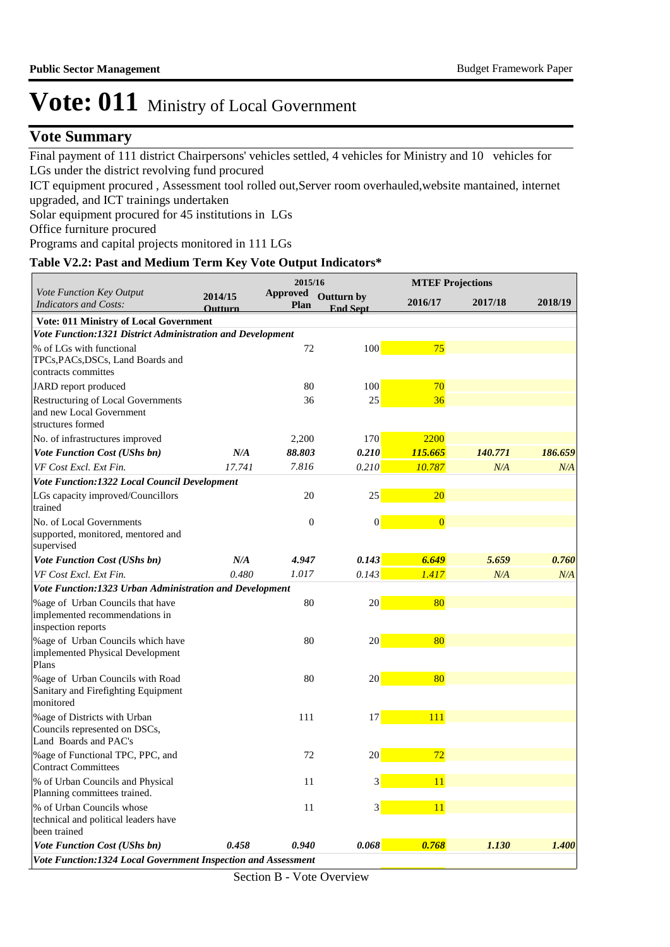### **Vote Summary**

Final payment of 111 district Chairpersons' vehicles settled, 4 vehicles for Ministry and 10 vehicles for LGs under the district revolving fund procured

ICT equipment procured , Assessment tool rolled out,Server room overhauled,website mantained, internet upgraded, and ICT trainings undertaken

Solar equipment procured for 45 institutions in LGs

Office furniture procured

Programs and capital projects monitored in 111 LGs

### **Table V2.2: Past and Medium Term Key Vote Output Indicators\***

|                                                                                          |                           | 2015/16                 |                               |                | <b>MTEF Projections</b> |         |
|------------------------------------------------------------------------------------------|---------------------------|-------------------------|-------------------------------|----------------|-------------------------|---------|
| Vote Function Key Output<br><b>Indicators and Costs:</b>                                 | 2014/15<br><b>Outturn</b> | <b>Approved</b><br>Plan | Outturn by<br><b>End Sept</b> | 2016/17        | 2017/18                 | 2018/19 |
| <b>Vote: 011 Ministry of Local Government</b>                                            |                           |                         |                               |                |                         |         |
| Vote Function: 1321 District Administration and Development                              |                           |                         |                               |                |                         |         |
| % of LGs with functional<br>TPCs, PACs, DSCs, Land Boards and<br>contracts committes     |                           | 72                      | 100                           | 75             |                         |         |
| JARD report produced                                                                     |                           | 80                      | 100                           | 70             |                         |         |
| Restructuring of Local Governments<br>and new Local Government<br>structures formed      |                           | 36                      | 25                            | 36             |                         |         |
| No. of infrastructures improved                                                          |                           | 2,200                   | 170                           | 2200           |                         |         |
| <b>Vote Function Cost (UShs bn)</b>                                                      | N/A                       | 88.803                  | 0.210                         | 115.665        | 140.771                 | 186.659 |
| VF Cost Excl. Ext Fin.                                                                   | 17.741                    | 7.816                   | 0.210                         | 10.787         | N/A                     | N/A     |
| Vote Function:1322 Local Council Development                                             |                           |                         |                               |                |                         |         |
| LGs capacity improved/Councillors<br>trained                                             |                           | 20                      | 25                            | <b>20</b>      |                         |         |
| No. of Local Governments<br>supported, monitored, mentored and<br>supervised             |                           | $\boldsymbol{0}$        | $\vert 0 \vert$               | $\overline{0}$ |                         |         |
| <b>Vote Function Cost (UShs bn)</b>                                                      | N/A                       | 4.947                   | 0.143                         | 6.649          | 5.659                   | 0.760   |
| VF Cost Excl. Ext Fin.                                                                   | 0.480                     | 1.017                   | 0.143                         | 1.417          | N/A                     | N/A     |
| Vote Function:1323 Urban Administration and Development                                  |                           |                         |                               |                |                         |         |
| %age of Urban Councils that have<br>implemented recommendations in<br>inspection reports |                           | 80                      | 20                            | 80             |                         |         |
| %age of Urban Councils which have<br>implemented Physical Development<br>Plans           |                           | 80                      | 20 <sub>2</sub>               | 80             |                         |         |
| %age of Urban Councils with Road<br>Sanitary and Firefighting Equipment<br>monitored     |                           | 80                      | 20 <sub>2</sub>               | 80             |                         |         |
| %age of Districts with Urban<br>Councils represented on DSCs,<br>Land Boards and PAC's   |                           | 111                     | 17                            | 111            |                         |         |
| %age of Functional TPC, PPC, and<br><b>Contract Committees</b>                           |                           | 72                      | 20                            | 72             |                         |         |
| % of Urban Councils and Physical<br>Planning committees trained.                         |                           | 11                      | $\mathbf{3}$                  | 11             |                         |         |
| % of Urban Councils whose<br>technical and political leaders have<br>been trained        |                           | 11                      | $3\vert$                      | 11             |                         |         |
| Vote Function Cost (UShs bn)                                                             | 0.458                     | 0.940                   | 0.068                         | 0.768          | 1.130                   | 1.400   |
| Vote Function:1324 Local Government Inspection and Assessment                            |                           |                         |                               |                |                         |         |

Section B - Vote Overview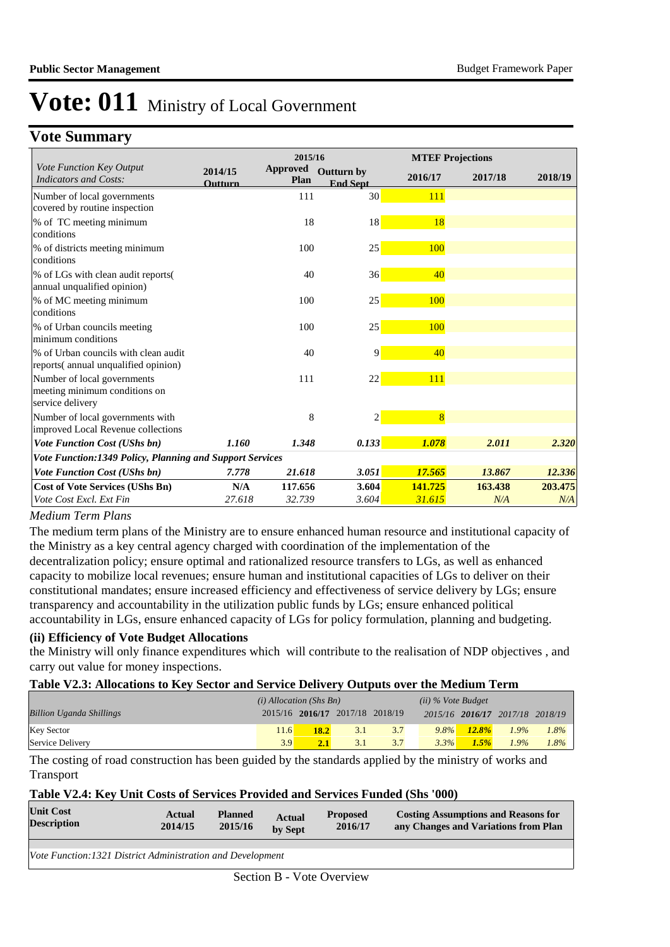### **Vote Summary**

|                                                                                  |                    | 2015/16                        |                                      |                | <b>MTEF Projections</b> |         |
|----------------------------------------------------------------------------------|--------------------|--------------------------------|--------------------------------------|----------------|-------------------------|---------|
| Vote Function Key Output<br><b>Indicators and Costs:</b>                         | 2014/15<br>Outturn | <b>Approved</b><br><b>Plan</b> | <b>Outturn by</b><br><b>End Sept</b> | 2016/17        | 2017/18                 | 2018/19 |
| Number of local governments<br>covered by routine inspection                     |                    | 111                            | 30 <sup>1</sup>                      | 111            |                         |         |
| % of TC meeting minimum<br>conditions                                            |                    | 18                             | 18                                   | 18             |                         |         |
| % of districts meeting minimum<br>conditions                                     |                    | 100                            | 25                                   | 100            |                         |         |
| % of LGs with clean audit reports (<br>annual unqualified opinion)               |                    | 40                             | 36                                   | 40             |                         |         |
| % of MC meeting minimum<br>conditions                                            |                    | 100                            | 25                                   | 100            |                         |         |
| % of Urban councils meeting<br>minimum conditions                                |                    | 100                            | 25                                   | 100            |                         |         |
| % of Urban councils with clean audit<br>reports(annual unqualified opinion)      |                    | 40                             | 9                                    | 40             |                         |         |
| Number of local governments<br>meeting minimum conditions on<br>service delivery |                    | 111                            | 22                                   | 111            |                         |         |
| Number of local governments with<br>improved Local Revenue collections           |                    | 8                              | $\overline{c}$                       | $\overline{8}$ |                         |         |
| <b>Vote Function Cost (UShs bn)</b>                                              | 1.160              | 1.348                          | 0.133                                | 1.078          | 2.011                   | 2.320   |
| Vote Function:1349 Policy, Planning and Support Services                         |                    |                                |                                      |                |                         |         |
| <b>Vote Function Cost (UShs bn)</b>                                              | 7.778              | 21.618                         | 3.051                                | 17.565         | 13.867                  | 12.336  |
| <b>Cost of Vote Services (UShs Bn)</b>                                           | N/A                | 117.656                        | 3.604                                | 141.725        | 163.438                 | 203.475 |
| Vote Cost Excl. Ext Fin                                                          | 27.618             | 32.739                         | 3.604                                | 31.615         | N/A                     | N/A     |

#### *Medium Term Plans*

The medium term plans of the Ministry are to ensure enhanced human resource and institutional capacity of the Ministry as a key central agency charged with coordination of the implementation of the decentralization policy; ensure optimal and rationalized resource transfers to LGs, as well as enhanced capacity to mobilize local revenues; ensure human and institutional capacities of LGs to deliver on their constitutional mandates; ensure increased efficiency and effectiveness of service delivery by LGs; ensure transparency and accountability in the utilization public funds by LGs; ensure enhanced political accountability in LGs, ensure enhanced capacity of LGs for policy formulation, planning and budgeting.

#### **(ii) Efficiency of Vote Budget Allocations**

the Ministry will only finance expenditures which will contribute to the realisation of NDP objectives , and carry out value for money inspections.

#### **Table V2.3: Allocations to Key Sector and Service Delivery Outputs over the Medium Term**

|                                 | $(i)$ Allocation (Shs Bn) |                                 |     | $(ii)$ % Vote Budget |         |          |                                 |         |
|---------------------------------|---------------------------|---------------------------------|-----|----------------------|---------|----------|---------------------------------|---------|
| <b>Billion Uganda Shillings</b> |                           | 2015/16 2016/17 2017/18 2018/19 |     |                      |         |          | 2015/16 2016/17 2017/18 2018/19 |         |
| <b>Key Sector</b>               | 11.6'                     | <b>18.2</b>                     | 3.1 | 3.7                  | $9.8\%$ | $12.8\%$ | $1.9\%$                         | 1.8%    |
| Service Delivery                | 39                        | 2.1                             | 3.1 | 3.7                  | 3.3%    | 1.5%     | $1.9\%$                         | $1.8\%$ |

The costing of road construction has been guided by the standards applied by the ministry of works and Transport

#### **Table V2.4: Key Unit Costs of Services Provided and Services Funded (Shs '000)**

| <b>Unit Cost</b><br><b>Description</b>                            | Actual<br>2014/15 | <b>Planned</b><br>2015/16 | <b>Actual</b><br>by Sept | <b>Proposed</b><br>2016/17 | <b>Costing Assumptions and Reasons for</b><br>any Changes and Variations from Plan |
|-------------------------------------------------------------------|-------------------|---------------------------|--------------------------|----------------------------|------------------------------------------------------------------------------------|
|                                                                   |                   |                           |                          |                            |                                                                                    |
| <i>Vote Function:1321 District Administration and Development</i> |                   |                           |                          |                            |                                                                                    |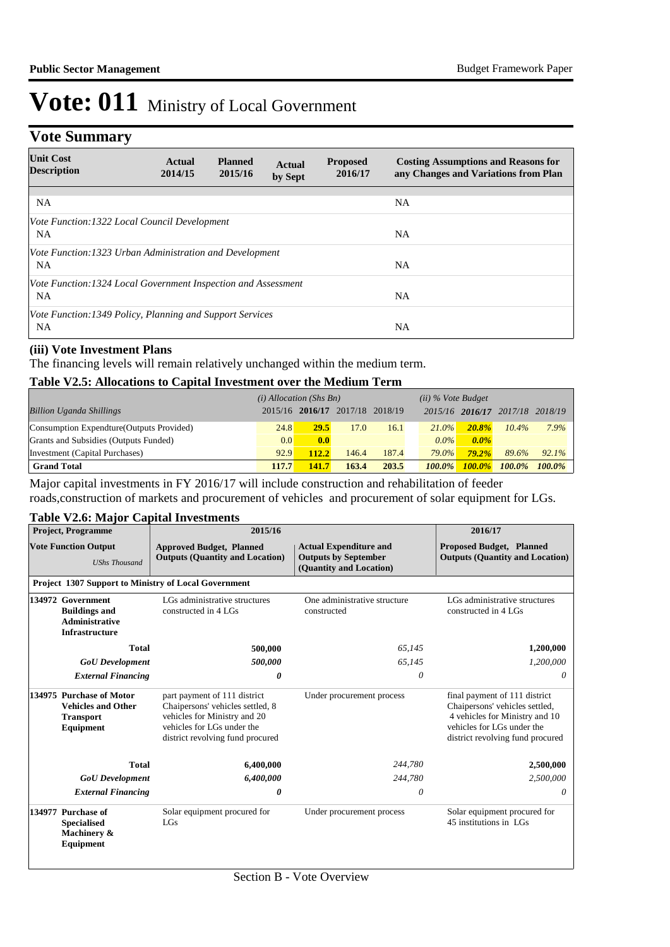## **Vote Summary**

| <b>Unit Cost</b><br><b>Description</b>                                 | Actual<br>2014/15 | <b>Planned</b><br>2015/16 | <b>Actual</b><br>by Sept | <b>Proposed</b><br>2016/17 | <b>Costing Assumptions and Reasons for</b><br>any Changes and Variations from Plan |
|------------------------------------------------------------------------|-------------------|---------------------------|--------------------------|----------------------------|------------------------------------------------------------------------------------|
| <b>NA</b>                                                              |                   |                           |                          |                            | <b>NA</b>                                                                          |
| Vote Function:1322 Local Council Development<br>NA.                    |                   |                           |                          |                            | <b>NA</b>                                                                          |
| Vote Function: 1323 Urban Administration and Development<br><b>NA</b>  |                   |                           |                          |                            | <b>NA</b>                                                                          |
| Vote Function: 1324 Local Government Inspection and Assessment<br>NA.  |                   |                           |                          |                            | NA.                                                                                |
| Vote Function: 1349 Policy, Planning and Support Services<br><b>NA</b> |                   |                           |                          |                            | <b>NA</b>                                                                          |

#### **(iii) Vote Investment Plans**

The financing levels will remain relatively unchanged within the medium term.

#### **Table V2.5: Allocations to Capital Investment over the Medium Term**

|                                           | $(i)$ Allocation (Shs Bn) |                                 |       |       |           | $(ii)$ % Vote Budget |           |           |
|-------------------------------------------|---------------------------|---------------------------------|-------|-------|-----------|----------------------|-----------|-----------|
| <b>Billion Uganda Shillings</b>           |                           | 2015/16 2016/17 2017/18 2018/19 |       |       |           | 2015/16 2016/17      | 2017/18   | 2018/19   |
| Consumption Expendture (Outputs Provided) | 24.8                      | <b>29.5</b>                     | 17.0  | 16.1  | $21.0\%$  | 20.8%                | $10.4\%$  | 7.9%      |
| Grants and Subsidies (Outputs Funded)     | 0.0                       | 0.0                             |       |       | $0.0\%$   | $0.0\%$              |           |           |
| Investment (Capital Purchases)            | 92.9                      | 112.2                           | 146.4 | 187.4 | $79.0\%$  | $79.2\%$             | 89.6%     | $92.1\%$  |
| <b>Grand Total</b>                        | 117.7                     | 141.7                           | 163.4 | 203.5 | $100.0\%$ | $100.0\%$            | $100.0\%$ | $100.0\%$ |

Major capital investments in FY 2016/17 will include construction and rehabilitation of feeder roads,construction of markets and procurement of vehicles and procurement of solar equipment for LGs.

### **Table V2.6: Major Capital Investments**

|                                                                                             | <b>Project, Programme</b>                                            | 2015/16                                                                                                                                                            |                                                                                         | 2016/17                                                                                                                                                             |  |
|---------------------------------------------------------------------------------------------|----------------------------------------------------------------------|--------------------------------------------------------------------------------------------------------------------------------------------------------------------|-----------------------------------------------------------------------------------------|---------------------------------------------------------------------------------------------------------------------------------------------------------------------|--|
|                                                                                             | <b>Vote Function Output</b><br><b>UShs Thousand</b>                  | <b>Approved Budget, Planned</b><br><b>Outputs (Quantity and Location)</b>                                                                                          | <b>Actual Expenditure and</b><br><b>Outputs by September</b><br>(Quantity and Location) | <b>Proposed Budget, Planned</b><br><b>Outputs (Quantity and Location)</b>                                                                                           |  |
|                                                                                             |                                                                      | <b>Project 1307 Support to Ministry of Local Government</b>                                                                                                        |                                                                                         |                                                                                                                                                                     |  |
| 134972 Government<br><b>Buildings and</b><br><b>Administrative</b><br><b>Infrastructure</b> |                                                                      | LGs administrative structures<br>constructed in 4 LGs                                                                                                              | One administrative structure<br>constructed                                             | LGs administrative structures<br>constructed in 4 LGs                                                                                                               |  |
|                                                                                             | <b>Total</b>                                                         | 500,000                                                                                                                                                            | 65.145                                                                                  | 1,200,000                                                                                                                                                           |  |
|                                                                                             | <b>GoU</b> Development                                               | 500,000                                                                                                                                                            | 65,145                                                                                  | 1,200,000                                                                                                                                                           |  |
|                                                                                             | <b>External Financing</b>                                            | 0                                                                                                                                                                  | 0                                                                                       | 0                                                                                                                                                                   |  |
| 134975 Purchase of Motor<br><b>Vehicles and Other</b><br><b>Transport</b><br>Equipment      |                                                                      | part payment of 111 district<br>Chaipersons' vehicles settled, 8<br>vehicles for Ministry and 20<br>vehicles for LGs under the<br>district revolving fund procured | Under procurement process                                                               | final payment of 111 district<br>Chaipersons' vehicles settled,<br>4 vehicles for Ministry and 10<br>vehicles for LGs under the<br>district revolving fund procured |  |
|                                                                                             | <b>Total</b>                                                         | 6,400,000                                                                                                                                                          | 244,780                                                                                 | 2,500,000                                                                                                                                                           |  |
|                                                                                             | <b>GoU</b> Development                                               | 6,400,000                                                                                                                                                          | 244,780                                                                                 | 2,500,000                                                                                                                                                           |  |
|                                                                                             | <b>External Financing</b>                                            | 0                                                                                                                                                                  | $\theta$                                                                                | 0                                                                                                                                                                   |  |
|                                                                                             | 134977 Purchase of<br><b>Specialised</b><br>Machinery &<br>Equipment | Solar equipment procured for<br>LGs                                                                                                                                | Under procurement process                                                               | Solar equipment procured for<br>45 institutions in LGs                                                                                                              |  |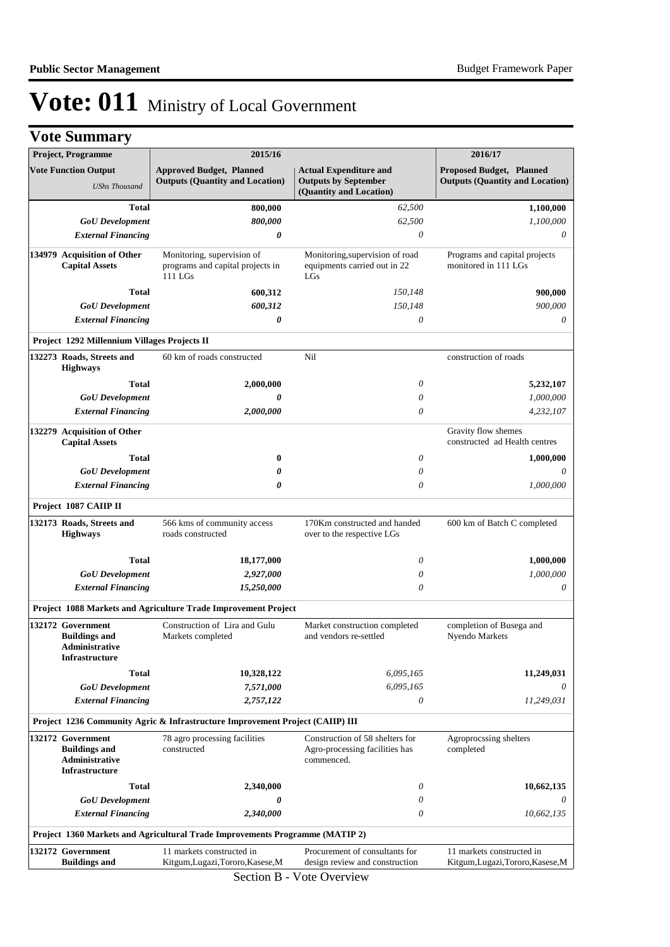| <b>Vote Summary</b>                                                                         |                                                                               |                                                                                           |                                                       |
|---------------------------------------------------------------------------------------------|-------------------------------------------------------------------------------|-------------------------------------------------------------------------------------------|-------------------------------------------------------|
| Project, Programme                                                                          | 2015/16                                                                       |                                                                                           | 2016/17                                               |
| <b>Vote Function Output</b>                                                                 | <b>Approved Budget, Planned</b>                                               | <b>Actual Expenditure and</b>                                                             | <b>Proposed Budget, Planned</b>                       |
| <b>UShs Thousand</b>                                                                        | <b>Outputs (Quantity and Location)</b>                                        | <b>Outputs by September</b><br>(Quantity and Location)                                    | <b>Outputs (Quantity and Location)</b>                |
| <b>Total</b>                                                                                | 800,000                                                                       | 62,500                                                                                    | 1,100,000                                             |
| <b>GoU</b> Development                                                                      | 800,000                                                                       | 62,500                                                                                    | 1,100,000                                             |
| <b>External Financing</b>                                                                   | 0                                                                             | 0                                                                                         | 0                                                     |
|                                                                                             |                                                                               |                                                                                           |                                                       |
| 134979 Acquisition of Other<br><b>Capital Assets</b>                                        | Monitoring, supervision of<br>programs and capital projects in<br>$111$ LGs   | Monitoring, supervision of road<br>equipments carried out in 22<br>LGs                    | Programs and capital projects<br>monitored in 111 LGs |
| <b>Total</b>                                                                                | 600,312                                                                       | 150,148                                                                                   | 900,000                                               |
| <b>GoU</b> Development                                                                      | 600,312                                                                       | 150,148                                                                                   | 900,000                                               |
| <b>External Financing</b>                                                                   | 0                                                                             | 0                                                                                         | 0                                                     |
| Project 1292 Millennium Villages Projects II                                                |                                                                               |                                                                                           |                                                       |
| 132273 Roads, Streets and<br><b>Highways</b>                                                | 60 km of roads constructed                                                    | Nil                                                                                       | construction of roads                                 |
| <b>Total</b>                                                                                | 2,000,000                                                                     | 0                                                                                         | 5,232,107                                             |
| <b>GoU</b> Development                                                                      | 0                                                                             | 0                                                                                         | 1,000,000                                             |
| <b>External Financing</b>                                                                   | 2,000,000                                                                     | $\theta$                                                                                  | 4,232,107                                             |
| 132279 Acquisition of Other<br><b>Capital Assets</b>                                        |                                                                               |                                                                                           | Gravity flow shemes<br>constructed ad Health centres  |
| <b>Total</b>                                                                                | $\bf{0}$                                                                      | 0                                                                                         | 1,000,000                                             |
| <b>GoU</b> Development                                                                      | 0                                                                             | 0                                                                                         | 0                                                     |
| <b>External Financing</b>                                                                   | 0                                                                             | 0                                                                                         | 1,000,000                                             |
| Project 1087 CAIIP II                                                                       |                                                                               |                                                                                           |                                                       |
| 132173 Roads, Streets and<br><b>Highways</b>                                                | 566 kms of community access<br>roads constructed                              | 170Km constructed and handed<br>600 km of Batch C completed<br>over to the respective LGs |                                                       |
| <b>Total</b>                                                                                | 18,177,000                                                                    | 0                                                                                         | 1,000,000                                             |
| <b>GoU</b> Development                                                                      | 2,927,000                                                                     | 0                                                                                         | 1,000,000                                             |
| <b>External Financing</b>                                                                   | 15,250,000                                                                    | $\theta$                                                                                  | 0                                                     |
|                                                                                             | Project 1088 Markets and Agriculture Trade Improvement Project                |                                                                                           |                                                       |
| 132172 Government<br><b>Buildings and</b><br><b>Administrative</b><br><b>Infrastructure</b> | Construction of Lira and Gulu<br>Markets completed                            | Market construction completed<br>and vendors re-settled                                   | completion of Busega and<br>Nyendo Markets            |
| <b>Total</b>                                                                                | 10,328,122                                                                    | 6,095,165                                                                                 | 11,249,031                                            |
| <b>GoU</b> Development                                                                      | 7,571,000                                                                     | 6,095,165                                                                                 | 0                                                     |
| <b>External Financing</b>                                                                   | 2,757,122                                                                     | 0                                                                                         | 11,249,031                                            |
|                                                                                             | Project 1236 Community Agric & Infrastructure Improvement Project (CAIIP) III |                                                                                           |                                                       |
| 132172 Government<br><b>Buildings and</b><br>Administrative<br>Infrastructure               | 78 agro processing facilities<br>constructed                                  | Construction of 58 shelters for<br>Agro-processing facilities has<br>commenced.           | Agroprocssing shelters<br>completed                   |
| <b>Total</b>                                                                                | 2,340,000                                                                     | 0                                                                                         | 10,662,135                                            |
| <b>GoU</b> Development                                                                      | 0                                                                             | 0                                                                                         | 0                                                     |
| <b>External Financing</b>                                                                   | 2,340,000                                                                     | 0                                                                                         | 10,662,135                                            |
|                                                                                             | Project 1360 Markets and Agricultural Trade Improvements Programme (MATIP 2)  |                                                                                           |                                                       |
| 132172 Government                                                                           | 11 markets constructed in                                                     | Procurement of consultants for                                                            | 11 markets constructed in                             |
| <b>Buildings and</b>                                                                        | Kitgum, Lugazi, Tororo, Kasese, M                                             | design review and construction                                                            | Kitgum, Lugazi, Tororo, Kasese, M                     |

Section B - Vote Overview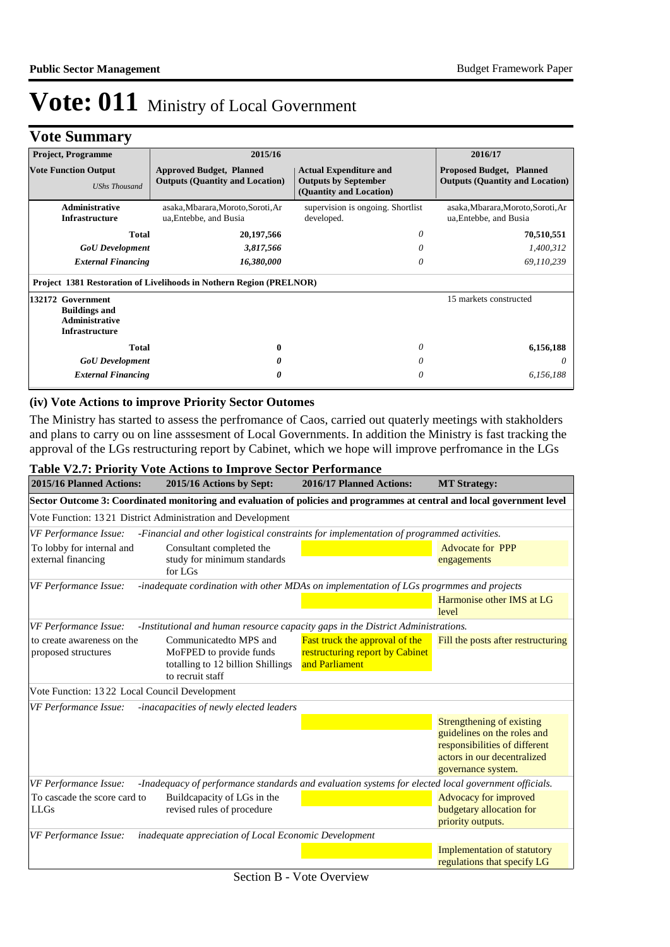## **Vote Summary**

| <b>Project, Programme</b>                                                                   | 2015/16                                                                   |                                                                                         | 2016/17                                                                   |
|---------------------------------------------------------------------------------------------|---------------------------------------------------------------------------|-----------------------------------------------------------------------------------------|---------------------------------------------------------------------------|
| <b>Vote Function Output</b><br><b>UShs Thousand</b>                                         | <b>Approved Budget, Planned</b><br><b>Outputs (Quantity and Location)</b> | <b>Actual Expenditure and</b><br><b>Outputs by September</b><br>(Quantity and Location) | <b>Proposed Budget, Planned</b><br><b>Outputs (Quantity and Location)</b> |
| Administrative<br><b>Infrastructure</b>                                                     | asaka, Mbarara, Moroto, Soroti, Ar<br>ua, Entebbe, and Busia              | supervision is ongoing. Shortlist<br>developed.                                         | asaka, Mbarara, Moroto, Soroti, Ar<br>ua, Entebbe, and Busia              |
| <b>Total</b>                                                                                | 20,197,566                                                                | 0                                                                                       | 70,510,551                                                                |
| <b>GoU</b> Development                                                                      | 3,817,566                                                                 |                                                                                         | 1,400,312                                                                 |
| <b>External Financing</b>                                                                   | 16,380,000                                                                | 0                                                                                       | 69,110,239                                                                |
|                                                                                             | Project 1381 Restoration of Livelihoods in Nothern Region (PRELNOR)       |                                                                                         |                                                                           |
| 132172 Government<br><b>Buildings and</b><br><b>Administrative</b><br><b>Infrastructure</b> |                                                                           |                                                                                         | 15 markets constructed                                                    |
| <b>Total</b>                                                                                | 0                                                                         | 0                                                                                       | 6,156,188                                                                 |
| <b>GoU</b> Development                                                                      |                                                                           |                                                                                         |                                                                           |
| <b>External Financing</b>                                                                   | 0                                                                         | 0                                                                                       | 6,156,188                                                                 |

### **(iv) Vote Actions to improve Priority Sector Outomes**

The Ministry has started to assess the perfromance of Caos, carried out quaterly meetings with stakholders and plans to carry ou on line asssesment of Local Governments. In addition the Ministry is fast tracking the approval of the LGs restructuring report by Cabinet, which we hope will improve perfromance in the LGs

### **Table V2.7: Priority Vote Actions to Improve Sector Performance**

| 2015/16 Planned Actions:                          | 2015/16 Actions by Sept:                                                                                                 | 2016/17 Planned Actions:                                                                   | <b>MT</b> Strategy:                                                                                                                            |
|---------------------------------------------------|--------------------------------------------------------------------------------------------------------------------------|--------------------------------------------------------------------------------------------|------------------------------------------------------------------------------------------------------------------------------------------------|
|                                                   | Sector Outcome 3: Coordinated monitoring and evaluation of policies and programmes at central and local government level |                                                                                            |                                                                                                                                                |
|                                                   | Vote Function: 1321 District Administration and Development                                                              |                                                                                            |                                                                                                                                                |
| VF Performance Issue:                             | -Financial and other logistical constraints for implementation of programmed activities.                                 |                                                                                            |                                                                                                                                                |
| To lobby for internal and<br>external financing   | Consultant completed the<br>study for minimum standards<br>for LGs                                                       |                                                                                            | <b>Advocate for PPP</b><br>engagements                                                                                                         |
| VF Performance Issue:                             | -inadequate cordination with other MDAs on implementation of LGs progrmmes and projects                                  |                                                                                            |                                                                                                                                                |
|                                                   |                                                                                                                          |                                                                                            | Harmonise other IMS at LG<br>level                                                                                                             |
| VF Performance Issue:                             | -Institutional and human resource capacity gaps in the District Administrations.                                         |                                                                                            |                                                                                                                                                |
| to create awareness on the<br>proposed structures | Communicatedto MPS and<br>MoFPED to provide funds<br>totalling to 12 billion Shillings<br>to recruit staff               | <b>Fast truck the approval of the</b><br>restructuring report by Cabinet<br>and Parliament | Fill the posts after restructuring                                                                                                             |
| Vote Function: 13 22 Local Council Development    |                                                                                                                          |                                                                                            |                                                                                                                                                |
| VF Performance Issue:                             | -inacapacities of newly elected leaders                                                                                  |                                                                                            |                                                                                                                                                |
|                                                   |                                                                                                                          |                                                                                            | Strengthening of existing<br>guidelines on the roles and<br>responsibilities of different<br>actors in our decentralized<br>governance system. |
| VF Performance Issue:                             | -Inadequacy of performance standards and evaluation systems for elected local government officials.                      |                                                                                            |                                                                                                                                                |
| To cascade the score card to<br><b>LLGs</b>       | Buildcapacity of LGs in the<br>revised rules of procedure                                                                |                                                                                            | Advocacy for improved<br>budgetary allocation for<br>priority outputs.                                                                         |
| VF Performance Issue:                             | inadequate appreciation of Local Economic Development                                                                    |                                                                                            |                                                                                                                                                |
|                                                   |                                                                                                                          |                                                                                            | <b>Implementation of statutory</b><br>regulations that specify LG                                                                              |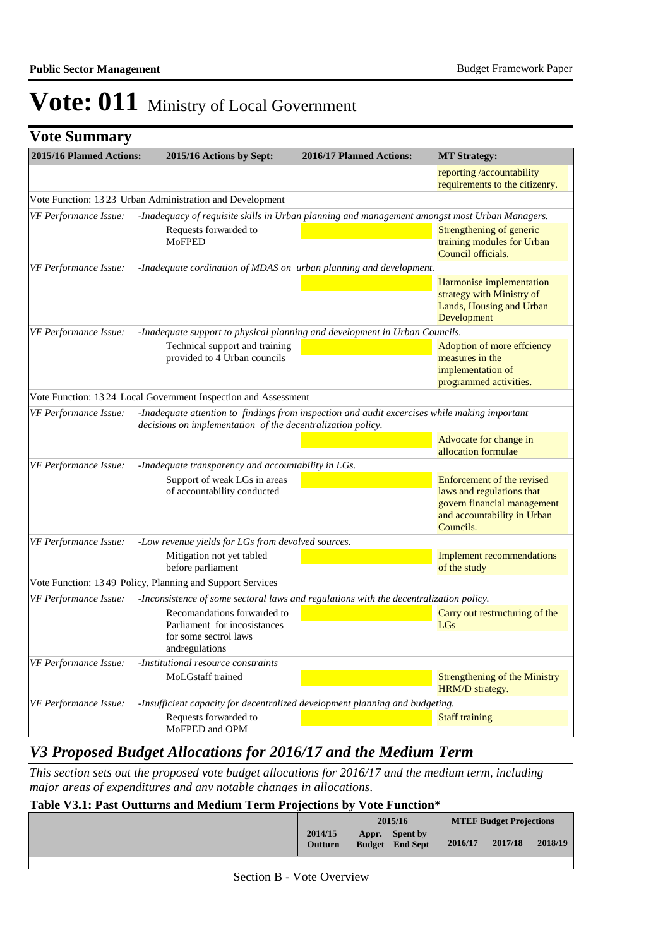|  |  | <b>Vote Summary</b> |
|--|--|---------------------|
|--|--|---------------------|

| 2015/16 Planned Actions:<br>2015/16 Actions by Sept: |                                                                                                                                                              | 2016/17 Planned Actions: | <b>MT Strategy:</b>                                                                                                                |
|------------------------------------------------------|--------------------------------------------------------------------------------------------------------------------------------------------------------------|--------------------------|------------------------------------------------------------------------------------------------------------------------------------|
|                                                      |                                                                                                                                                              |                          | reporting /accountability<br>requirements to the citizenry.                                                                        |
|                                                      | Vote Function: 13 23 Urban Administration and Development                                                                                                    |                          |                                                                                                                                    |
| VF Performance Issue:                                | -Inadequacy of requisite skills in Urban planning and management amongst most Urban Managers.                                                                |                          |                                                                                                                                    |
|                                                      | Requests forwarded to<br><b>MoFPED</b>                                                                                                                       |                          | Strengthening of generic<br>training modules for Urban<br>Council officials.                                                       |
| <b>VF Performance Issue:</b>                         | -Inadequate cordination of MDAS on urban planning and development.                                                                                           |                          |                                                                                                                                    |
|                                                      |                                                                                                                                                              |                          | Harmonise implementation<br>strategy with Ministry of<br>Lands, Housing and Urban<br>Development                                   |
| VF Performance Issue:                                | -Inadequate support to physical planning and development in Urban Councils.                                                                                  |                          |                                                                                                                                    |
|                                                      | Technical support and training<br>provided to 4 Urban councils                                                                                               |                          | Adoption of more effciency<br>measures in the<br>implementation of<br>programmed activities.                                       |
|                                                      | Vote Function: 13 24 Local Government Inspection and Assessment                                                                                              |                          |                                                                                                                                    |
| VF Performance Issue:                                | -Inadequate attention to findings from inspection and audit excercises while making important<br>decisions on implementation of the decentralization policy. |                          |                                                                                                                                    |
|                                                      |                                                                                                                                                              |                          | Advocate for change in<br>allocation formulae                                                                                      |
| VF Performance Issue:                                | -Inadequate transparency and accountability in LGs.                                                                                                          |                          |                                                                                                                                    |
|                                                      | Support of weak LGs in areas<br>of accountability conducted                                                                                                  |                          | Enforcement of the revised<br>laws and regulations that<br>govern financial management<br>and accountability in Urban<br>Councils. |
| VF Performance Issue:                                | -Low revenue yields for LGs from devolved sources.                                                                                                           |                          |                                                                                                                                    |
|                                                      | Mitigation not yet tabled<br>before parliament                                                                                                               |                          | <b>Implement recommendations</b><br>of the study                                                                                   |
|                                                      | Vote Function: 1349 Policy, Planning and Support Services                                                                                                    |                          |                                                                                                                                    |
| VF Performance Issue:                                | -Inconsistence of some sectoral laws and regulations with the decentralization policy.                                                                       |                          |                                                                                                                                    |
|                                                      | Recomandations forwarded to<br>Parliament for incosistances                                                                                                  |                          | Carry out restructuring of the<br>LGs                                                                                              |
|                                                      | for some sectrol laws<br>andregulations                                                                                                                      |                          |                                                                                                                                    |
| VF Performance Issue:                                | -Institutional resource constraints                                                                                                                          |                          |                                                                                                                                    |
|                                                      | MoLGstaff trained                                                                                                                                            |                          | <b>Strengthening of the Ministry</b><br>HRM/D strategy.                                                                            |
| VF Performance Issue:                                | -Insufficient capacity for decentralized development planning and budgeting.                                                                                 |                          |                                                                                                                                    |
|                                                      | Requests forwarded to<br>MoFPED and OPM                                                                                                                      |                          | <b>Staff training</b>                                                                                                              |

## *V3 Proposed Budget Allocations for 2016/17 and the Medium Term*

*This section sets out the proposed vote budget allocations for 2016/17 and the medium term, including major areas of expenditures and any notable changes in allocations.* 

| Table V3.1: Past Outturns and Medium Term Projections by Vote Function* |  |  |
|-------------------------------------------------------------------------|--|--|
|                                                                         |  |  |

|                           |       | 2015/16                                   |         | <b>MTEF Budget Projections</b> |         |
|---------------------------|-------|-------------------------------------------|---------|--------------------------------|---------|
| 2014/15<br><b>Outturn</b> | Appr. | <b>Spent by</b><br><b>Budget</b> End Sept | 2016/17 | 2017/18                        | 2018/19 |
|                           |       |                                           |         |                                |         |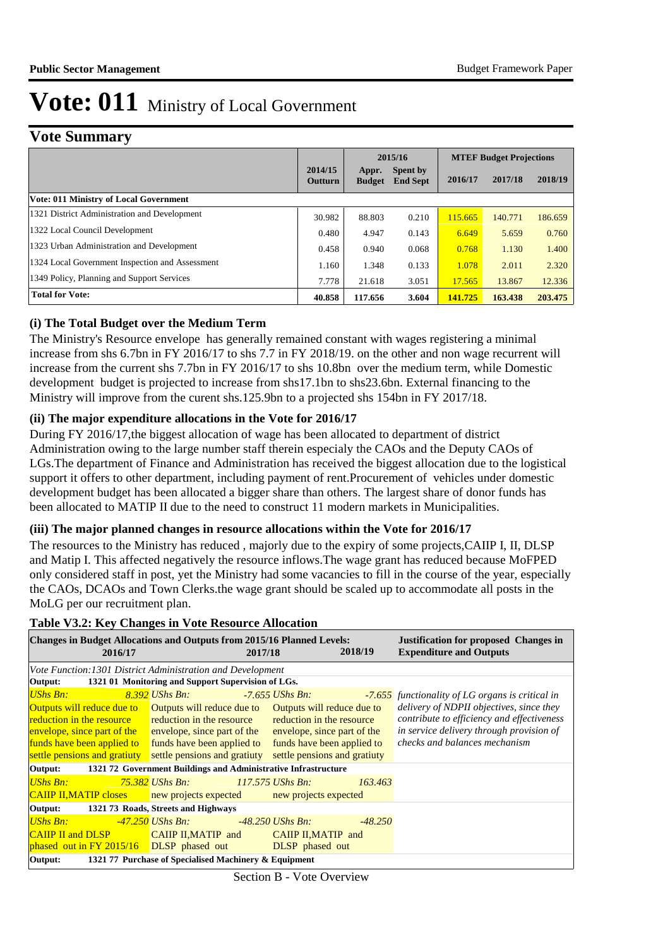## **Vote Summary**

|                                                 |                    | 2015/16                |                             | <b>MTEF Budget Projections</b> |         |         |
|-------------------------------------------------|--------------------|------------------------|-----------------------------|--------------------------------|---------|---------|
|                                                 | 2014/15<br>Outturn | Appr.<br><b>Budget</b> | Spent by<br><b>End Sept</b> | 2016/17                        | 2017/18 | 2018/19 |
| <b>Vote: 011 Ministry of Local Government</b>   |                    |                        |                             |                                |         |         |
| 1321 District Administration and Development    | 30.982             | 88.803                 | 0.210                       | 115.665                        | 140.771 | 186.659 |
| 1322 Local Council Development                  | 0.480              | 4.947                  | 0.143                       | 6.649                          | 5.659   | 0.760   |
| 1323 Urban Administration and Development       | 0.458              | 0.940                  | 0.068                       | 0.768                          | 1.130   | 1.400   |
| 1324 Local Government Inspection and Assessment | 1.160              | 1.348                  | 0.133                       | 1.078                          | 2.011   | 2.320   |
| 1349 Policy, Planning and Support Services      | 7.778              | 21.618                 | 3.051                       | 17.565                         | 13.867  | 12.336  |
| <b>Total for Vote:</b>                          | 40.858             | 117.656                | 3.604                       | 141.725                        | 163.438 | 203.475 |

#### **(i) The Total Budget over the Medium Term**

The Ministry's Resource envelope has generally remained constant with wages registering a minimal increase from shs 6.7bn in FY 2016/17 to shs 7.7 in FY 2018/19. on the other and non wage recurrent will increase from the current shs 7.7bn in FY 2016/17 to shs 10.8bn over the medium term, while Domestic development budget is projected to increase from shs17.1bn to shs23.6bn. External financing to the Ministry will improve from the curent shs.125.9bn to a projected shs 154bn in FY 2017/18.

#### **(ii) The major expenditure allocations in the Vote for 2016/17**

During FY 2016/17,the biggest allocation of wage has been allocated to department of district Administration owing to the large number staff therein especialy the CAOs and the Deputy CAOs of LGs.The department of Finance and Administration has received the biggest allocation due to the logistical support it offers to other department, including payment of rent.Procurement of vehicles under domestic development budget has been allocated a bigger share than others. The largest share of donor funds has been allocated to MATIP II due to the need to construct 11 modern markets in Municipalities.

#### **(iii) The major planned changes in resource allocations within the Vote for 2016/17**

The resources to the Ministry has reduced , majorly due to the expiry of some projects,CAIIP I, II, DLSP and Matip I. This affected negatively the resource inflows.The wage grant has reduced because MoFPED only considered staff in post, yet the Ministry had some vacancies to fill in the course of the year, especially the CAOs, DCAOs and Town Clerks.the wage grant should be scaled up to accommodate all posts in the MoLG per our recruitment plan.

#### **Table V3.2: Key Changes in Vote Resource Allocation**

| <b>Changes in Budget Allocations and Outputs from 2015/16 Planned Levels:</b><br>2016/17                                                                                                                                       |                                         | 2017/18                                                   | 2018/19   | <b>Justification for proposed Changes in</b><br><b>Expenditure and Outputs</b>                                                     |  |
|--------------------------------------------------------------------------------------------------------------------------------------------------------------------------------------------------------------------------------|-----------------------------------------|-----------------------------------------------------------|-----------|------------------------------------------------------------------------------------------------------------------------------------|--|
| Vote Function: 1301 District Administration and Development                                                                                                                                                                    |                                         |                                                           |           |                                                                                                                                    |  |
| Output: 1321 01 Monitoring and Support Supervision of LGs.                                                                                                                                                                     |                                         |                                                           |           |                                                                                                                                    |  |
| UShs Bn: Antique State State State State State State State State State State State State State State State State State State State State State State State State State State State State State State State State State State S | 8.392 UShs Bn:                          | -7.655 UShs Bn:                                           |           | -7.655 functionality of LG organs is critical in                                                                                   |  |
| <b>Outputs will reduce due to</b> Outputs will reduce due to Outputs will reduce due to<br><b>reduction in the resource</b> reduction in the resource reduction in the resource                                                |                                         |                                                           |           | delivery of NDPII objectives, since they<br>contribute to efficiency and effectiveness<br>in service delivery through provision of |  |
| envelope, since part of the envelope, since part of the<br>funds have been applied to funds have been applied to                                                                                                               |                                         | envelope, since part of the<br>funds have been applied to |           | checks and balances mechanism                                                                                                      |  |
| settle pensions and gratiuty settle pensions and gratiuty                                                                                                                                                                      |                                         | settle pensions and gratiuty                              |           |                                                                                                                                    |  |
| Output: 1321 72 Government Buildings and Administrative Infrastructure                                                                                                                                                         |                                         |                                                           |           |                                                                                                                                    |  |
| UShs Bn:                                                                                                                                                                                                                       | <b>75.382</b> UShs Bn: 117.575 UShs Bn. |                                                           | 163.463   |                                                                                                                                    |  |
| <b>CAIIP II, MATIP closes</b> new projects expected new projects expected                                                                                                                                                      |                                         |                                                           |           |                                                                                                                                    |  |
| Output: 1321 73 Roads, Streets and Highways                                                                                                                                                                                    |                                         |                                                           |           |                                                                                                                                    |  |
| UShs Bn: Entertainment of the Society of the Society of the Society of the Society of the Society of the Society of the Society of the Society of the Society of the Society of the Society of the Society of the Society of t |                                         |                                                           | $-48.250$ |                                                                                                                                    |  |
| CAIIP II and DLSP CAIIP II, MATIP and CAIIP II, MATIP and                                                                                                                                                                      |                                         |                                                           |           |                                                                                                                                    |  |
| phased out in FY 2015/16 DLSP phased out DLSP phased out                                                                                                                                                                       |                                         |                                                           |           |                                                                                                                                    |  |
| Output:<br>1321 77 Purchase of Specialised Machinery & Equipment                                                                                                                                                               |                                         |                                                           |           |                                                                                                                                    |  |

Section B - Vote Overview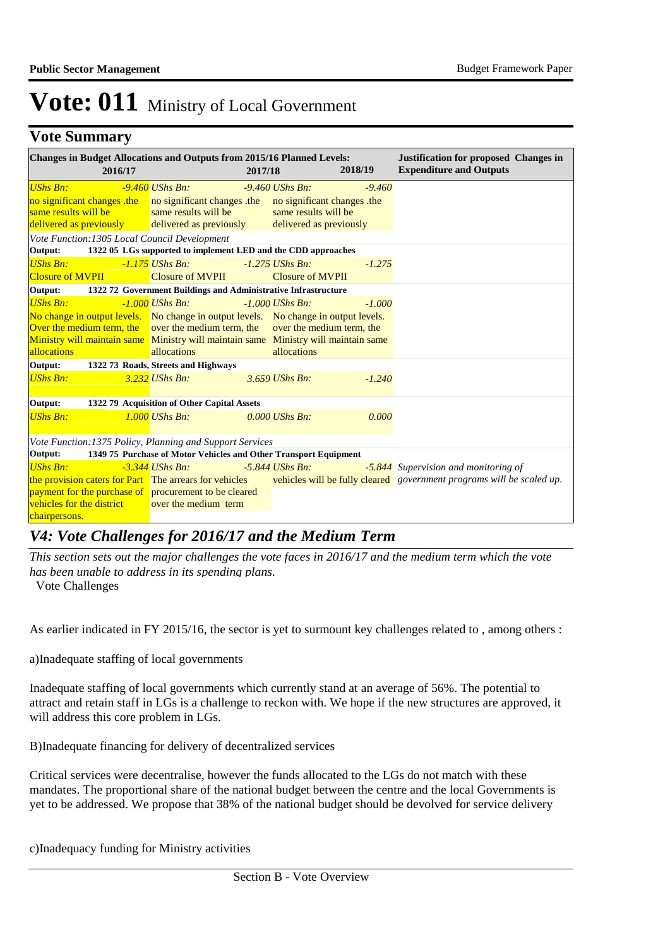### **Vote Summary**

| <b>Changes in Budget Allocations and Outputs from 2015/16 Planned Levels:</b><br>2016/17 |                                                                  | 2017/18 |                                                 | 2018/19  | <b>Justification for proposed Changes in</b><br><b>Expenditure and Outputs</b> |
|------------------------------------------------------------------------------------------|------------------------------------------------------------------|---------|-------------------------------------------------|----------|--------------------------------------------------------------------------------|
| <b>UShs Bn:</b><br>no significant changes the no significant changes the                 | $-9.460$ UShs Bn:                                                |         | $-9.460$ UShs Bn:<br>no significant changes the | $-9.460$ |                                                                                |
| same results will be<br>delivered as previously delivered as previously                  | same results will be                                             |         | same results will be<br>delivered as previously |          |                                                                                |
| Vote Function: 1305 Local Council Development                                            |                                                                  |         |                                                 |          |                                                                                |
| Output:                                                                                  | 1322 05 LGs supported to implement LED and the CDD approaches    |         |                                                 |          |                                                                                |
| <b>UShs Bn:</b>                                                                          | $-1.175$ UShs Bn:                                                |         | $-1.275$ UShs Bn:                               | $-1.275$ |                                                                                |
| <b>Closure of MVPII</b>                                                                  | Closure of MVPII                                                 |         | <b>Closure of MVPII</b>                         |          |                                                                                |
| Output:                                                                                  | 1322 72 Government Buildings and Administrative Infrastructure   |         |                                                 |          |                                                                                |
| <b>UShs Bn:</b>                                                                          | $-1.000$ UShs Bn:                                                |         | $-1.000$ UShs Bn:                               | $-1.000$ |                                                                                |
| No change in output levels. No change in output levels. No change in output levels.      |                                                                  |         |                                                 |          |                                                                                |
| Over the medium term, the over the medium term, the                                      |                                                                  |         | over the medium term, the                       |          |                                                                                |
| Ministry will maintain same Ministry will maintain same Ministry will maintain same      |                                                                  |         |                                                 |          |                                                                                |
| allocations                                                                              | allocations                                                      |         | allocations                                     |          |                                                                                |
| Output:                                                                                  | 1322 73 Roads, Streets and Highways                              |         |                                                 |          |                                                                                |
| <b>UShs Bn:</b>                                                                          | $3.232$ UShs Bn:                                                 |         | $3.659$ UShs Bn:                                | $-1.240$ |                                                                                |
| Output:                                                                                  | 1322 79 Acquisition of Other Capital Assets                      |         |                                                 |          |                                                                                |
| <b>UShs Bn:</b>                                                                          | $1.000$ UShs Bn:                                                 |         | $0.000$ UShs Bn:                                | 0.000    |                                                                                |
| Vote Function:1375 Policy, Planning and Support Services                                 |                                                                  |         |                                                 |          |                                                                                |
| Output:                                                                                  | 1349 75 Purchase of Motor Vehicles and Other Transport Equipment |         |                                                 |          |                                                                                |
| <b>UShs Bn:</b>                                                                          | $-3.344$ UShs Bn:                                                |         | $-5.844$ UShs Bn.                               |          | -5.844 Supervision and monitoring of                                           |
| the provision caters for Part The arrears for vehicles                                   |                                                                  |         |                                                 |          | vehicles will be fully cleared government programs will be scaled up.          |
| payment for the purchase of procurement to be cleared                                    |                                                                  |         |                                                 |          |                                                                                |
| vehicles for the district                                                                | over the medium term                                             |         |                                                 |          |                                                                                |
| chairpersons.                                                                            |                                                                  |         |                                                 |          |                                                                                |

## *V4: Vote Challenges for 2016/17 and the Medium Term*

*This section sets out the major challenges the vote faces in 2016/17 and the medium term which the vote has been unable to address in its spending plans.*

Vote Challenges

As earlier indicated in FY 2015/16, the sector is yet to surmount key challenges related to , among others :

a)Inadequate staffing of local governments

Inadequate staffing of local governments which currently stand at an average of 56%. The potential to attract and retain staff in LGs is a challenge to reckon with. We hope if the new structures are approved, it will address this core problem in LGs.

B) Inadequate financing for delivery of decentralized services

Critical services were decentralise, however the funds allocated to the LGs do not match with these mandates. The proportional share of the national budget between the centre and the local Governments is yet to be addressed. We propose that 38% of the national budget should be devolved for service delivery

c) Inadequacy funding for Ministry activities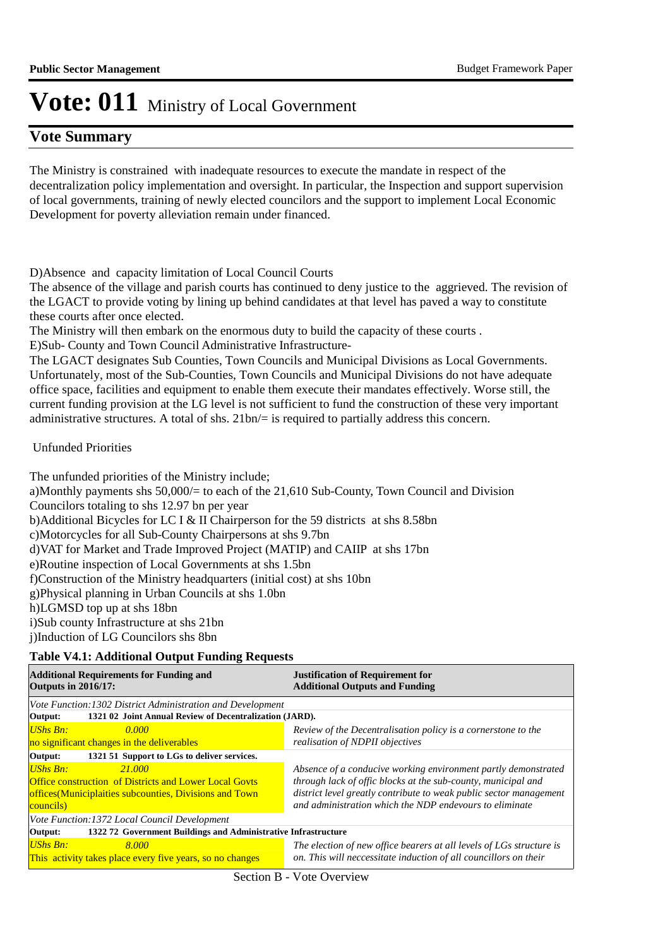### **Vote Summary**

The Ministry is constrained with inadequate resources to execute the mandate in respect of the decentralization policy implementation and oversight. In particular, the Inspection and support supervision of local governments, training of newly elected councilors and the support to implement Local Economic Development for poverty alleviation remain under financed.

D) Absence and capacity limitation of Local Council Courts

The absence of the village and parish courts has continued to deny justice to the aggrieved. The revision of the LGACT to provide voting by lining up behind candidates at that level has paved a way to constitute these courts after once elected.

The Ministry will then embark on the enormous duty to build the capacity of these courts .

E)Sub- County and Town Council Administrative Infrastructure-

The LGACT designates Sub Counties, Town Councils and Municipal Divisions as Local Governments. Unfortunately, most of the Sub-Counties, Town Councils and Municipal Divisions do not have adequate office space, facilities and equipment to enable them execute their mandates effectively. Worse still, the current funding provision at the LG level is not sufficient to fund the construction of these very important administrative structures. A total of shs. 21bn/= is required to partially address this concern.

Unfunded Priorities

The unfunded priorities of the Ministry include; a) Monthly payments shs 50,000/= to each of the 21,610 Sub-County, Town Council and Division Councilors totaling to shs 12.97 bn per year b)Additional Bicycles for LC I & II Chairperson for the 59 districts at shs 8.58bn c) Motorcycles for all Sub-County Chairpersons at shs 9.7bn d) VAT for Market and Trade Improved Project (MATIP) and CAIIP at shs 17bn e)Routine inspection of Local Governments at shs 1.5bn f) Construction of the Ministry headquarters (initial cost) at shs 10bn g)Physical planning in Urban Councils at shs 1.0bn h)LGMSD top up at shs 18bn i)Sub county Infrastructure at shs 21bn i)Induction of LG Councilors shs 8bn

#### **Table V4.1: Additional Output Funding Requests**

| <b>Additional Requirements for Funding and</b><br><b>Outputs in 2016/17:</b> | <b>Justification of Requirement for</b><br><b>Additional Outputs and Funding</b> |  |  |  |  |
|------------------------------------------------------------------------------|----------------------------------------------------------------------------------|--|--|--|--|
| Vote Function: 1302 District Administration and Development                  |                                                                                  |  |  |  |  |
| 1321 02 Joint Annual Review of Decentralization (JARD).<br>Output:           |                                                                                  |  |  |  |  |
| <b>UShs Bn:</b><br>0.000                                                     | Review of the Decentralisation policy is a cornerstone to the                    |  |  |  |  |
| no significant changes in the deliverables                                   | realisation of NDPII objectives                                                  |  |  |  |  |
| 1321 51 Support to LGs to deliver services.<br>Output:                       |                                                                                  |  |  |  |  |
| <b>UShs Bn:</b><br>21.000                                                    | Absence of a conducive working environment partly demonstrated                   |  |  |  |  |
| <b>Office construction of Districts and Lower Local Goyts</b>                | through lack of offic blocks at the sub-county, municipal and                    |  |  |  |  |
| offices (Municiplaities subcounties, Divisions and Town                      | district level greatly contribute to weak public sector management               |  |  |  |  |
| councils)                                                                    | and administration which the NDP endevours to eliminate                          |  |  |  |  |
| <i>Vote Function:1372 Local Council Development</i>                          |                                                                                  |  |  |  |  |
| 1322 72 Government Buildings and Administrative Infrastructure<br>Output:    |                                                                                  |  |  |  |  |
| UShs Bn:<br>8.000                                                            | The election of new office bearers at all levels of LGs structure is             |  |  |  |  |
| This activity takes place every five years, so no changes                    | on. This will neccessitate induction of all councillors on their                 |  |  |  |  |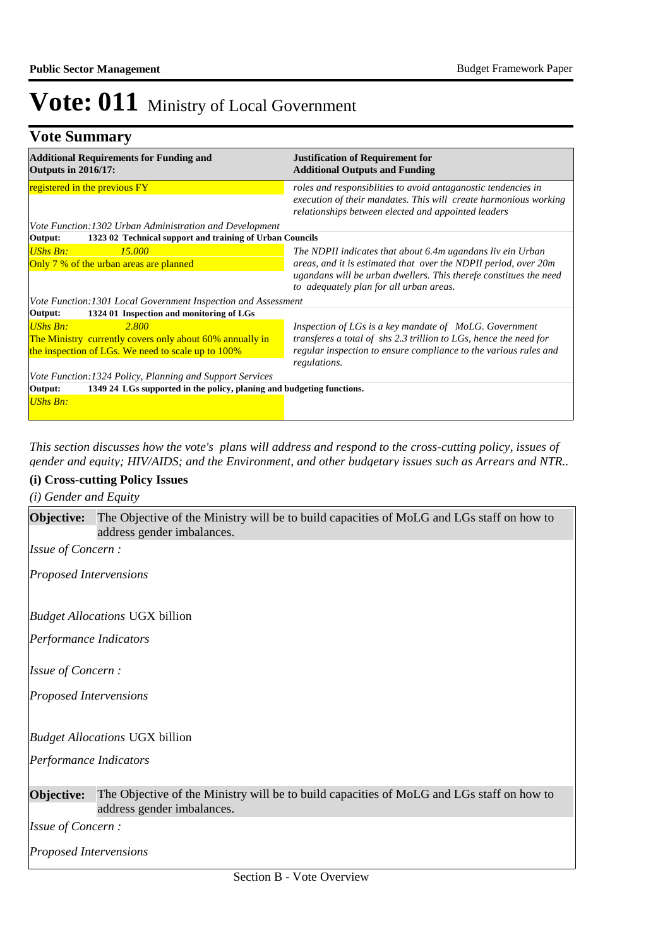## **Vote Summary**

| <b>Additional Requirements for Funding and</b><br><b>Outputs in 2016/17:</b>                                                               | <b>Justification of Requirement for</b><br><b>Additional Outputs and Funding</b>                                                                                                                                                              |
|--------------------------------------------------------------------------------------------------------------------------------------------|-----------------------------------------------------------------------------------------------------------------------------------------------------------------------------------------------------------------------------------------------|
| registered in the previous FY                                                                                                              | roles and responsiblities to avoid antaganostic tendencies in<br>execution of their mandates. This will create harmonious working<br>relationships between elected and appointed leaders                                                      |
| Vote Function: 1302 Urban Administration and Development                                                                                   |                                                                                                                                                                                                                                               |
| 1323 02 Technical support and training of Urban Councils<br>Output:                                                                        |                                                                                                                                                                                                                                               |
| UShs Bn:<br>15,000<br>Only 7 % of the urban areas are planned                                                                              | The NDPII indicates that about 6.4m ugandans liv ein Urban<br>areas, and it is estimated that over the NDPII period, over 20m<br>ugandans will be urban dwellers. This therefe constitues the need<br>to adequately plan for all urban areas. |
| Vote Function: 1301 Local Government Inspection and Assessment                                                                             |                                                                                                                                                                                                                                               |
| 1324 01 Inspection and monitoring of LGs<br>Output:                                                                                        |                                                                                                                                                                                                                                               |
| UShs Bn:<br><b>2.800</b><br>The Ministry currently covers only about 60% annually in<br>the inspection of LGs. We need to scale up to 100% | Inspection of LGs is a key mandate of MoLG. Government<br>transferes a total of shs 2.3 trillion to LGs, hence the need for<br>regular inspection to ensure compliance to the various rules and<br>regulations.                               |
| <i>Vote Function:1324 Policy, Planning and Support Services</i>                                                                            |                                                                                                                                                                                                                                               |
| 1349 24 LGs supported in the policy, planing and budgeting functions.<br>Output:                                                           |                                                                                                                                                                                                                                               |
| UShs Bn:                                                                                                                                   |                                                                                                                                                                                                                                               |

*This section discusses how the vote's plans will address and respond to the cross-cutting policy, issues of gender and equity; HIV/AIDS; and the Environment, and other budgetary issues such as Arrears and NTR..* 

### **(i) Cross-cutting Policy Issues**

*(i) Gender and Equity*

| Objective:                            | The Objective of the Ministry will be to build capacities of MoLG and LGs staff on how to<br>address gender imbalances. |  |  |
|---------------------------------------|-------------------------------------------------------------------------------------------------------------------------|--|--|
|                                       |                                                                                                                         |  |  |
| <b>Issue of Concern:</b>              |                                                                                                                         |  |  |
| <b>Proposed Intervensions</b>         |                                                                                                                         |  |  |
| <b>Budget Allocations UGX billion</b> |                                                                                                                         |  |  |
| Performance Indicators                |                                                                                                                         |  |  |
| <b>Issue of Concern:</b>              |                                                                                                                         |  |  |
| <b>Proposed Intervensions</b>         |                                                                                                                         |  |  |
| <i>Budget Allocations</i> UGX billion |                                                                                                                         |  |  |
| Performance Indicators                |                                                                                                                         |  |  |
| Objective:                            | The Objective of the Ministry will be to build capacities of MoLG and LGs staff on how to<br>address gender imbalances. |  |  |
| <b>Issue of Concern:</b>              |                                                                                                                         |  |  |
| <b>Proposed Intervensions</b>         |                                                                                                                         |  |  |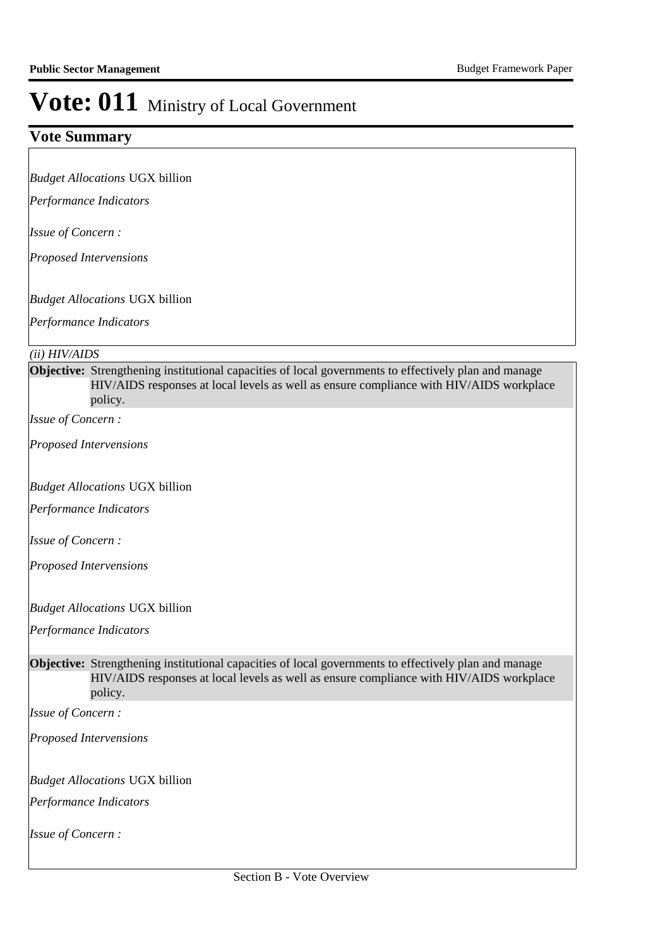### **Vote Summary**

*Budget Allocations*  UGX billion

*Performance Indicators*

*Issue of Concern :*

*Proposed Intervensions* 

*Budget Allocations*  UGX billion

*Performance Indicators*

#### *(ii) HIV/AIDS*

**Objective:** Strengthening institutional capacities of local governments to effectively plan and manage HIV/AIDS responses at local levels as well as ensure compliance with HIV/AIDS workplace policy.

*Issue of Concern :*

*Proposed Intervensions* 

*Budget Allocations*  UGX billion

*Performance Indicators*

*Issue of Concern :*

*Proposed Intervensions* 

*Budget Allocations*  UGX billion

*Performance Indicators*

**Objective:** Strengthening institutional capacities of local governments to effectively plan and manage HIV/AIDS responses at local levels as well as ensure compliance with HIV/AIDS workplace policy.

*Issue of Concern :*

*Proposed Intervensions* 

*Budget Allocations*  UGX billion

*Performance Indicators*

*Issue of Concern :*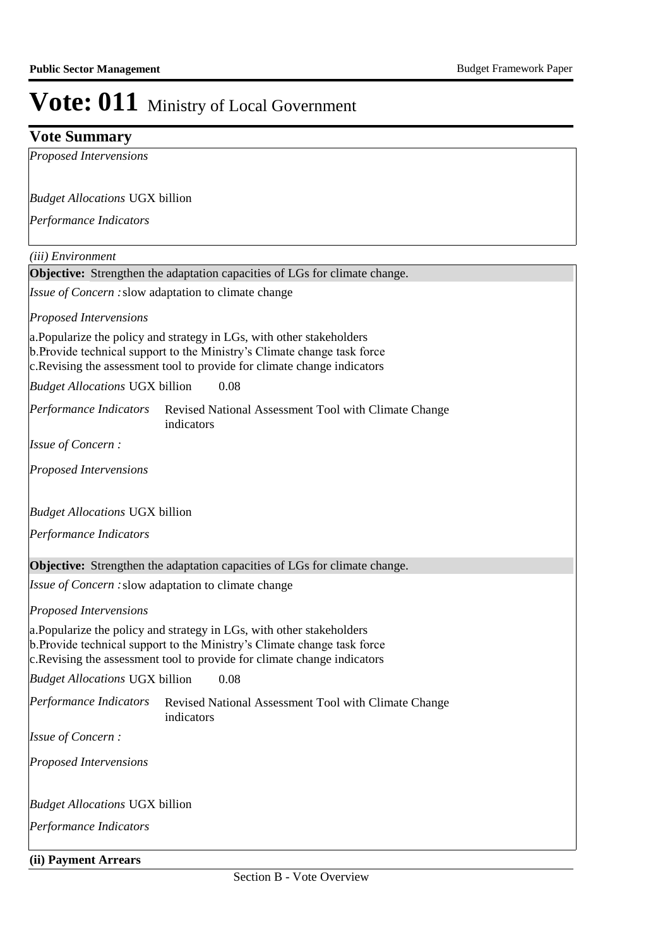### **Vote Summary**

*Proposed Intervensions* 

*Budget Allocations*  UGX billion

*Performance Indicators*

*(iii) Environment*

**Objective:** Strengthen the adaptation capacities of LGs for climate change.

Issue of Concern : slow adaptation to climate change

*Proposed Intervensions* 

a. Popularize the policy and strategy in LGs, with other stakeholders b. Provide technical support to the Ministry's Climate change task force c. Revising the assessment tool to provide for climate change indicators

0.08 *Budget Allocations*  UGX billion

Revised National Assessment Tool with Climate Change indicators *Performance Indicators*

*Issue of Concern :*

*Proposed Intervensions* 

*Budget Allocations*  UGX billion

*Performance Indicators*

**Objective:** Strengthen the adaptation capacities of LGs for climate change.

Issue of Concern : slow adaptation to climate change

*Proposed Intervensions* 

a. Popularize the policy and strategy in LGs, with other stakeholders b. Provide technical support to the Ministry's Climate change task force c. Revising the assessment tool to provide for climate change indicators

0.08 *Budget Allocations*  UGX billion

Revised National Assessment Tool with Climate Change indicators *Performance Indicators*

*Issue of Concern :*

*Proposed Intervensions* 

### *Budget Allocations*  UGX billion

*Performance Indicators*

**(ii) Payment Arrears**